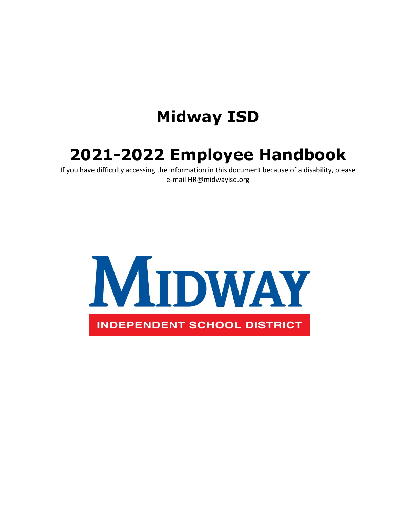# **Midway ISD**

# **2021-2022 Employee Handbook**

If you have difficulty accessing the information in this document because of a disability, please e-mail HR@midwayisd.org

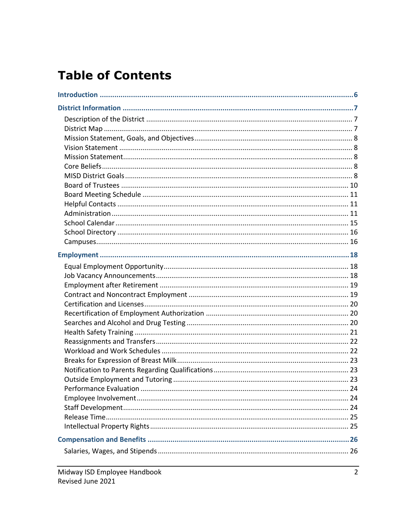# **Table of Contents**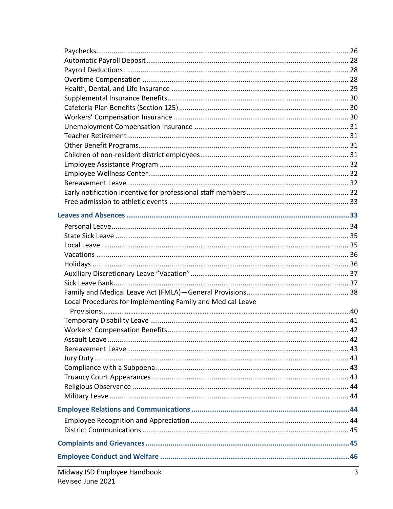| Local Procedures for Implementing Family and Medical Leave<br>and the control of the control of the control of the control of the control of the control of the control of the |  |
|--------------------------------------------------------------------------------------------------------------------------------------------------------------------------------|--|
|                                                                                                                                                                                |  |
|                                                                                                                                                                                |  |
|                                                                                                                                                                                |  |
|                                                                                                                                                                                |  |
|                                                                                                                                                                                |  |
|                                                                                                                                                                                |  |
|                                                                                                                                                                                |  |
|                                                                                                                                                                                |  |
|                                                                                                                                                                                |  |
|                                                                                                                                                                                |  |
|                                                                                                                                                                                |  |
|                                                                                                                                                                                |  |
|                                                                                                                                                                                |  |
|                                                                                                                                                                                |  |
|                                                                                                                                                                                |  |
|                                                                                                                                                                                |  |
|                                                                                                                                                                                |  |
|                                                                                                                                                                                |  |
|                                                                                                                                                                                |  |
|                                                                                                                                                                                |  |
|                                                                                                                                                                                |  |
|                                                                                                                                                                                |  |
|                                                                                                                                                                                |  |
|                                                                                                                                                                                |  |
|                                                                                                                                                                                |  |
|                                                                                                                                                                                |  |
|                                                                                                                                                                                |  |
|                                                                                                                                                                                |  |
|                                                                                                                                                                                |  |
|                                                                                                                                                                                |  |
|                                                                                                                                                                                |  |
|                                                                                                                                                                                |  |
|                                                                                                                                                                                |  |
|                                                                                                                                                                                |  |
|                                                                                                                                                                                |  |
|                                                                                                                                                                                |  |
|                                                                                                                                                                                |  |
|                                                                                                                                                                                |  |
|                                                                                                                                                                                |  |
|                                                                                                                                                                                |  |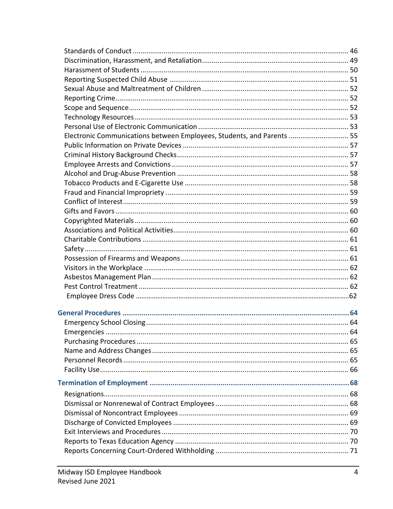| Electronic Communications between Employees, Students, and Parents  55 |  |
|------------------------------------------------------------------------|--|
|                                                                        |  |
|                                                                        |  |
|                                                                        |  |
|                                                                        |  |
|                                                                        |  |
|                                                                        |  |
|                                                                        |  |
|                                                                        |  |
|                                                                        |  |
|                                                                        |  |
|                                                                        |  |
|                                                                        |  |
|                                                                        |  |
|                                                                        |  |
|                                                                        |  |
|                                                                        |  |
|                                                                        |  |
|                                                                        |  |
|                                                                        |  |
|                                                                        |  |
|                                                                        |  |
|                                                                        |  |
|                                                                        |  |
|                                                                        |  |
|                                                                        |  |
|                                                                        |  |
|                                                                        |  |
|                                                                        |  |
|                                                                        |  |
|                                                                        |  |
|                                                                        |  |
|                                                                        |  |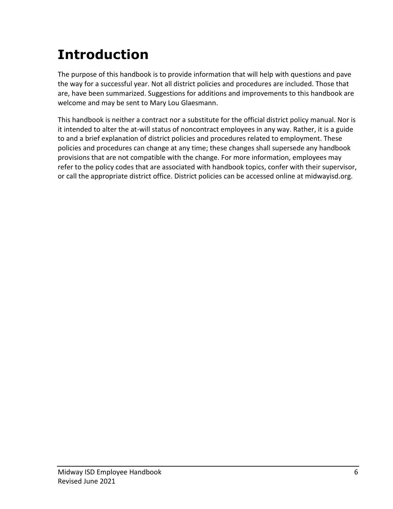# <span id="page-5-0"></span>**Introduction**

The purpose of this handbook is to provide information that will help with questions and pave the way for a successful year. Not all district policies and procedures are included. Those that are, have been summarized. Suggestions for additions and improvements to this handbook are welcome and may be sent to Mary Lou Glaesmann.

This handbook is neither a contract nor a substitute for the official district policy manual. Nor is it intended to alter the at-will status of noncontract employees in any way. Rather, it is a guide to and a brief explanation of district policies and procedures related to employment. These policies and procedures can change at any time; these changes shall supersede any handbook provisions that are not compatible with the change. For more information, employees may refer to the policy codes that are associated with handbook topics, confer with their supervisor, or call the appropriate district office. District policies can be accessed online at midwayisd.org.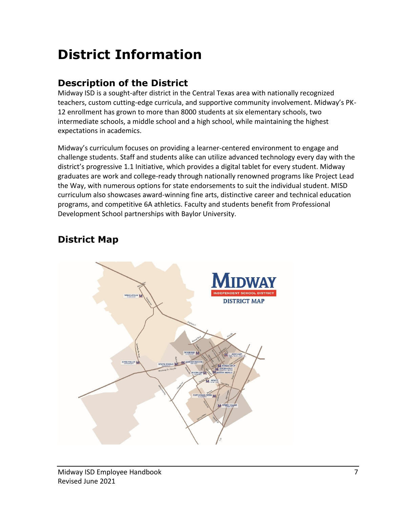# <span id="page-6-0"></span>**District Information**

## <span id="page-6-1"></span>**Description of the District**

Midway ISD is a sought-after district in the Central Texas area with nationally recognized teachers, custom cutting-edge curricula, and supportive community involvement. Midway's PK-12 enrollment has grown to more than 8000 students at six elementary schools, two intermediate schools, a middle school and a high school, while maintaining the highest expectations in academics.

Midway's curriculum focuses on providing a learner-centered environment to engage and challenge students. Staff and students alike can utilize advanced technology every day with the district's progressive 1.1 Initiative, which provides a digital tablet for every student. Midway graduates are work and college-ready through nationally renowned programs like Project Lead the Way, with numerous options for state endorsements to suit the individual student. MISD curriculum also showcases award-winning fine arts, distinctive career and technical education programs, and competitive 6A athletics. Faculty and students benefit from Professional Development School partnerships with Baylor University.

# <span id="page-6-2"></span>**District Map**

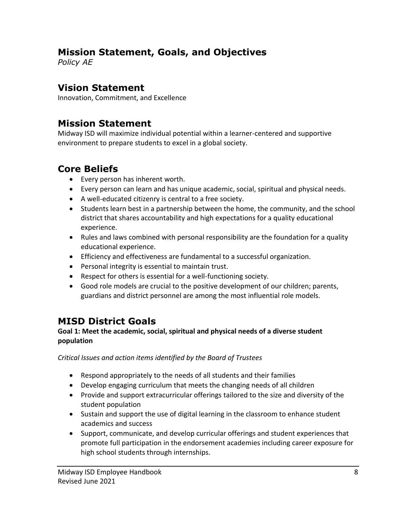#### <span id="page-7-0"></span>**Mission Statement, Goals, and Objectives**

*Policy AE*

#### <span id="page-7-1"></span>**Vision Statement**

Innovation, Commitment, and Excellence

#### <span id="page-7-2"></span>**Mission Statement**

Midway ISD will maximize individual potential within a learner-centered and supportive environment to prepare students to excel in a global society.

#### <span id="page-7-3"></span>**Core Beliefs**

- Every person has inherent worth.
- Every person can learn and has unique academic, social, spiritual and physical needs.
- A well-educated citizenry is central to a free society.
- Students learn best in a partnership between the home, the community, and the school district that shares accountability and high expectations for a quality educational experience.
- Rules and laws combined with personal responsibility are the foundation for a quality educational experience.
- Efficiency and effectiveness are fundamental to a successful organization.
- Personal integrity is essential to maintain trust.
- Respect for others is essential for a well-functioning society.
- Good role models are crucial to the positive development of our children; parents, guardians and district personnel are among the most influential role models.

## <span id="page-7-4"></span>**MISD District Goals**

#### **Goal 1: Meet the academic, social, spiritual and physical needs of a diverse student population**

*Critical Issues and action items identified by the Board of Trustees*

- Respond appropriately to the needs of all students and their families
- Develop engaging curriculum that meets the changing needs of all children
- Provide and support extracurricular offerings tailored to the size and diversity of the student population
- Sustain and support the use of digital learning in the classroom to enhance student academics and success
- Support, communicate, and develop curricular offerings and student experiences that promote full participation in the endorsement academies including career exposure for high school students through internships.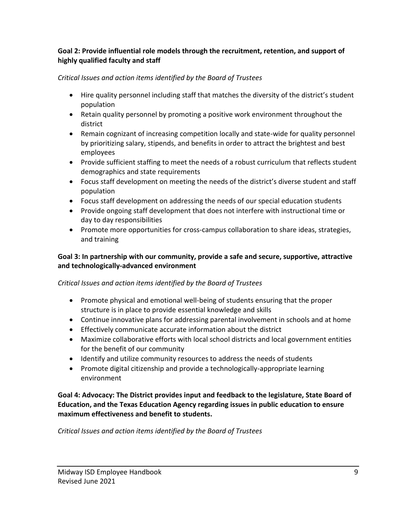#### **Goal 2: Provide influential role models through the recruitment, retention, and support of highly qualified faculty and staff**

#### *Critical Issues and action items identified by the Board of Trustees*

- Hire quality personnel including staff that matches the diversity of the district's student population
- Retain quality personnel by promoting a positive work environment throughout the district
- Remain cognizant of increasing competition locally and state-wide for quality personnel by prioritizing salary, stipends, and benefits in order to attract the brightest and best employees
- Provide sufficient staffing to meet the needs of a robust curriculum that reflects student demographics and state requirements
- Focus staff development on meeting the needs of the district's diverse student and staff population
- Focus staff development on addressing the needs of our special education students
- Provide ongoing staff development that does not interfere with instructional time or day to day responsibilities
- Promote more opportunities for cross-campus collaboration to share ideas, strategies, and training

#### **Goal 3: In partnership with our community, provide a safe and secure, supportive, attractive and technologically-advanced environment**

#### *Critical Issues and action items identified by the Board of Trustees*

- Promote physical and emotional well-being of students ensuring that the proper structure is in place to provide essential knowledge and skills
- Continue innovative plans for addressing parental involvement in schools and at home
- Effectively communicate accurate information about the district
- Maximize collaborative efforts with local school districts and local government entities for the benefit of our community
- Identify and utilize community resources to address the needs of students
- Promote digital citizenship and provide a technologically-appropriate learning environment

**Goal 4: Advocacy: The District provides input and feedback to the legislature, State Board of Education, and the Texas Education Agency regarding issues in public education to ensure maximum effectiveness and benefit to students.**

*Critical Issues and action items identified by the Board of Trustees*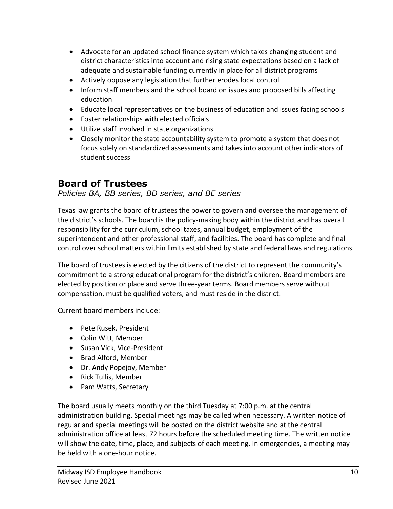- Advocate for an updated school finance system which takes changing student and district characteristics into account and rising state expectations based on a lack of adequate and sustainable funding currently in place for all district programs
- Actively oppose any legislation that further erodes local control
- Inform staff members and the school board on issues and proposed bills affecting education
- Educate local representatives on the business of education and issues facing schools
- Foster relationships with elected officials
- Utilize staff involved in state organizations
- Closely monitor the state accountability system to promote a system that does not focus solely on standardized assessments and takes into account other indicators of student success

#### <span id="page-9-0"></span>**Board of Trustees**

#### *Policies BA, BB series, BD series, and BE series*

Texas law grants the board of trustees the power to govern and oversee the management of the district's schools. The board is the policy-making body within the district and has overall responsibility for the curriculum, school taxes, annual budget, employment of the superintendent and other professional staff, and facilities. The board has complete and final control over school matters within limits established by state and federal laws and regulations.

The board of trustees is elected by the citizens of the district to represent the community's commitment to a strong educational program for the district's children. Board members are elected by position or place and serve three-year terms. Board members serve without compensation, must be qualified voters, and must reside in the district.

Current board members include:

- Pete Rusek, President
- Colin Witt, Member
- Susan Vick, Vice-President
- Brad Alford, Member
- Dr. Andy Popejoy, Member
- Rick Tullis, Member
- Pam Watts, Secretary

The board usually meets monthly on the third Tuesday at 7:00 p.m. at the central administration building. Special meetings may be called when necessary. A written notice of regular and special meetings will be posted on the district website and at the central administration office at least 72 hours before the scheduled meeting time. The written notice will show the date, time, place, and subjects of each meeting. In emergencies, a meeting may be held with a one-hour notice.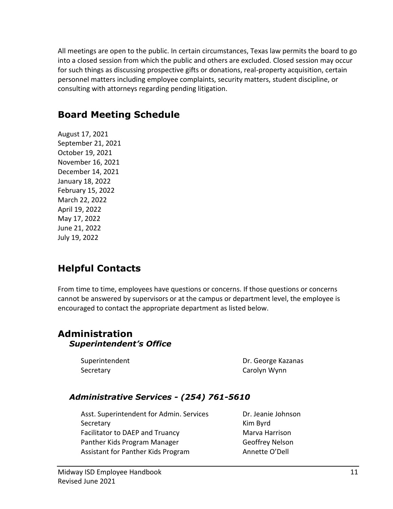All meetings are open to the public. In certain circumstances, Texas law permits the board to go into a closed session from which the public and others are excluded. Closed session may occur for such things as discussing prospective gifts or donations, real-property acquisition, certain personnel matters including employee complaints, security matters, student discipline, or consulting with attorneys regarding pending litigation.

#### <span id="page-10-0"></span>**Board Meeting Schedule**

August 17, 2021 September 21, 2021 October 19, 2021 November 16, 2021 December 14, 2021 January 18, 2022 February 15, 2022 March 22, 2022 April 19, 2022 May 17, 2022 June 21, 2022 July 19, 2022

#### <span id="page-10-1"></span>**Helpful Contacts**

From time to time, employees have questions or concerns. If those questions or concerns cannot be answered by supervisors or at the campus or department level, the employee is encouraged to contact the appropriate department as listed below.

#### <span id="page-10-2"></span>**Administration** *Superintendent's Office*

Secretary **Carolyn Wynn** 

Superintendent Dr. George Kazanas

#### *Administrative Services - (254) 761-5610*

Asst. Superintendent for Admin. Services Dr. Jeanie Johnson Secretary **Kim Byrd** Facilitator to DAEP and Truancy Marva Harrison Panther Kids Program Manager Geoffrey Nelson Assistant for Panther Kids Program Annette O'Dell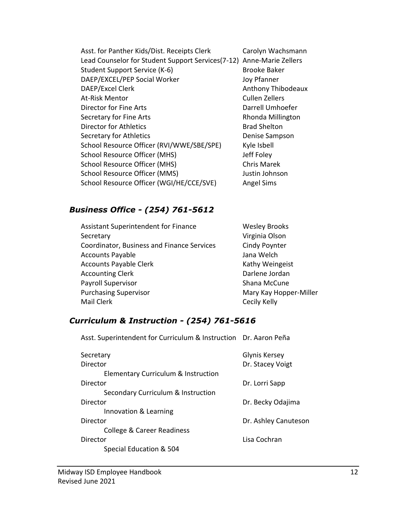Asst. for Panther Kids/Dist. Receipts Clerk Carolyn Wachsmann Lead Counselor for Student Support Services(7-12) Anne-Marie Zellers Student Support Service (K-6) Brooke Baker DAEP/EXCEL/PEP Social Worker Joy Pfanner DAEP/Excel Clerk Anthony Thibodeaux At-Risk Mentor Cullen Zellers Director for Fine Arts **Darrell Umhoefer** Secretary for Fine Arts **Rhonda Millington** Director for Athletics **Brad Shelton** Secretary for Athletics **Denise Sampson** School Resource Officer (RVI/WWE/SBE/SPE) Kyle Isbell School Resource Officer (MHS) School Resource Officer (MHS) School Resource Officer (MHS) Chris Marek School Resource Officer (MMS) Justin Johnson School Resource Officer (WGI/HE/CCE/SVE) Angel Sims

#### *Business Office - (254) 761-5612*

Assistant Superintendent for Finance Wesley Brooks Secretary **Virginia Olson** Coordinator, Business and Finance Services Cindy Poynter Accounts Payable **Accounts** Payable **Jana Welch** Accounts Payable Clerk Kathy Weingeist Accounting Clerk **Darlene Jordan** Payroll Supervisor National Shana McCune Purchasing Supervisor **Mary Kay Hopper-Miller** Mary Kay Hopper-Miller Mail Clerk Cecily Kelly

#### *Curriculum & Instruction - (254) 761-5616*

Asst. Superintendent for Curriculum & Instruction Dr. Aaron Peña Secretary **Glynis Kersey** Director **Director** Dr. Stacey Voigt Elementary Curriculum & Instruction Director Dr. Lorri Sapp Secondary Curriculum & Instruction Director **Director** Dr. Becky Odajima Innovation & Learning Director **Director** Dr. Ashley Canuteson College & Career Readiness Director Lisa Cochran Special Education & 504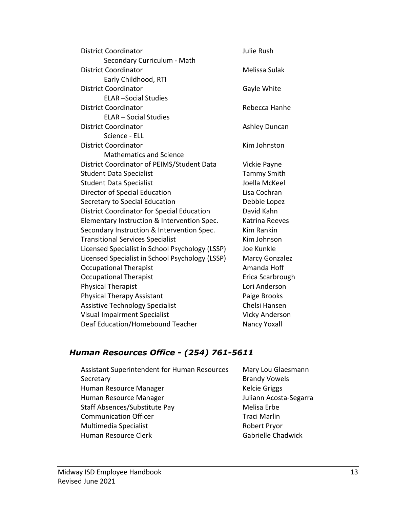| <b>District Coordinator</b>                       | <b>Julie Rush</b>     |
|---------------------------------------------------|-----------------------|
| Secondary Curriculum - Math                       |                       |
| <b>District Coordinator</b>                       | Melissa Sulak         |
| Early Childhood, RTI                              |                       |
| <b>District Coordinator</b>                       | Gayle White           |
| <b>ELAR-Social Studies</b>                        |                       |
| <b>District Coordinator</b>                       | Rebecca Hanhe         |
| <b>ELAR - Social Studies</b>                      |                       |
| <b>District Coordinator</b>                       | Ashley Duncan         |
| Science - ELL                                     |                       |
| <b>District Coordinator</b>                       | Kim Johnston          |
| <b>Mathematics and Science</b>                    |                       |
| District Coordinator of PEIMS/Student Data        | Vickie Payne          |
| <b>Student Data Specialist</b>                    | <b>Tammy Smith</b>    |
| <b>Student Data Specialist</b>                    | Joella McKeel         |
| Director of Special Education                     | Lisa Cochran          |
| Secretary to Special Education                    | Debbie Lopez          |
| <b>District Coordinator for Special Education</b> | David Kahn            |
| Elementary Instruction & Intervention Spec.       | <b>Katrina Reeves</b> |
| Secondary Instruction & Intervention Spec.        | <b>Kim Rankin</b>     |
| <b>Transitional Services Specialist</b>           | Kim Johnson           |
| Licensed Specialist in School Psychology (LSSP)   | Joe Kunkle            |
| Licensed Specialist in School Psychology (LSSP)   | <b>Marcy Gonzalez</b> |
| <b>Occupational Therapist</b>                     | Amanda Hoff           |
| <b>Occupational Therapist</b>                     | Erica Scarbrough      |
| <b>Physical Therapist</b>                         | Lori Anderson         |
| <b>Physical Therapy Assistant</b>                 | Paige Brooks          |
| <b>Assistive Technology Specialist</b>            | Chelsi Hansen         |
| <b>Visual Impairment Specialist</b>               | <b>Vicky Anderson</b> |
| Deaf Education/Homebound Teacher                  | Nancy Yoxall          |
|                                                   |                       |

#### *Human Resources Office - (254) 761-5611*

| <b>Assistant Superintendent for Human Resources</b> | Mary Lou Glaesmann     |
|-----------------------------------------------------|------------------------|
| Secretary                                           | <b>Brandy Vowels</b>   |
| Human Resource Manager                              | <b>Kelcie Griggs</b>   |
| Human Resource Manager                              | Juliann Acosta-Segarra |
| Staff Absences/Substitute Pay                       | Melisa Erbe            |
| <b>Communication Officer</b>                        | <b>Traci Marlin</b>    |
| Multimedia Specialist                               | Robert Pryor           |
| Human Resource Clerk                                | Gabrielle Chadwick     |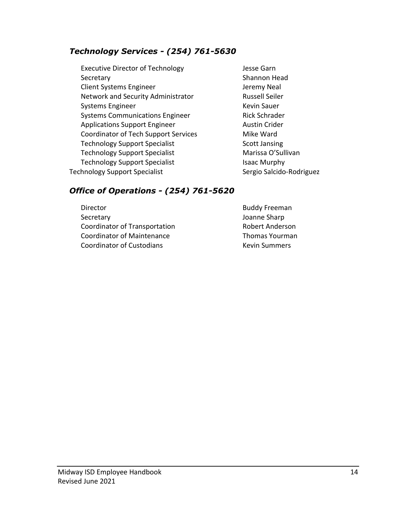#### *Technology Services - (254) 761-5630*

- Executive Director of Technology **Same School** Desse Garn Secretary **Shannon Head** Client Systems Engineer and The Mean Systems Engineer and The Jeremy Neal Network and Security Administrator Fig. 2016. Russell Seiler Systems Engineer Kevin Sauer Systems Communications Engineer **Rick Schrader** Applications Support Engineer **Austin Crider** Austin Crider Coordinator of Tech Support Services Mike Ward Technology Support Specialist Scott Jansing Technology Support Specialist Marissa O'Sullivan Technology Support Specialist **Isaac Murphy** Technology Support Specialist Sergio Salcido-Rodriguez
	-

#### *Office of Operations - (254) 761-5620*

Director **Buddy Freeman** Secretary **Secretary Joanne Sharp** Coordinator of Transportation **Robert Anderson** Coordinator of Maintenance Thomas Yourman Coordinator of Custodians **Kevin Summers** Kevin Summers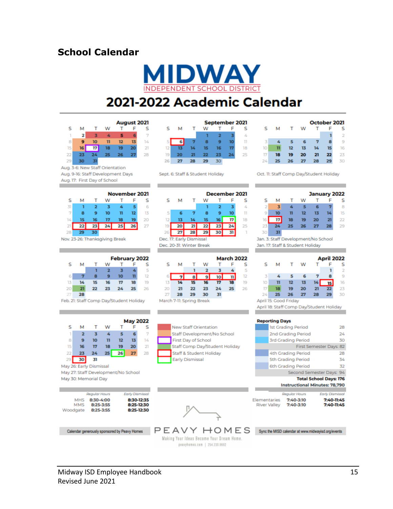#### <span id="page-14-0"></span>**School Calendar**

 $\mathbf{T}$ 

 $\overline{17}$ 

 $31$ Aug. 3-6: New Staff Orientation Aug. 9-16: Staff Development Days

> T W

 $\mathbf{Q}$  $10<sub>o</sub>$ 

16

30 Nov. 23-26: Thanksgiving Break

> T W

8

15

Aug. 17: First Day of School

ĭ  $\overline{\mathbf{2}}$  $\overline{\mathbf{3}}$ 4

 $\mathbf{R}$ 

15

14

 $21$  $22$ 

 $\overline{2}$  $\overline{\mathbf{x}}$ Á

 $\bullet$ 10

 $16$ 

W

 $\mathbf{u}$  $\overline{D}$ 

 $\overline{18}$ 19 20

25

17 18

24

 $\overline{2}$  $\mathbf{I}$ 

> $\overline{9}$ 10

16  $17$ 

23 24

s м

 $\mathbb{R}$ 

15

 $\overline{22}$ 23 24

29 30

S M

31

 $\overline{7}$ 

14  $21$ 22 23

 $\overline{28}$ 29

S M

 $6$ n

 $\overline{13}$ 

20

27 28 August 2021

13 14

S

 $\overline{2}$ 

S

13

 $20$ 

s  $\overline{\mathbf{5}}$ 

19

т F

s. 6  $\overline{7}$ 

26 27  $\overline{28}$ 

November 2021

5 6

19

**February 2022** 

 $\mathbf{n}$  $12$ 

18

25 26

T F

 $\mathbf{n}$  $12$ 

25 26 27

 $T$ F

 $\overline{\mathbf{3}}$ 4



# 2021-2022 Academic Calendar

|    |    |     |    |    |    | October 2021 |
|----|----|-----|----|----|----|--------------|
| s  | м  | -11 | w  |    |    | s<br>2       |
| τ  |    |     |    |    | я  | 9            |
| 10 | 11 | 12  | 13 | 14 | 15 | 16           |
| 17 | 18 | 19  | 20 | 21 | 22 | 23           |
| 24 | 25 | 26  | 27 | 28 | 29 | 30           |

|                 |    |    |    |    |    | September 2021 |
|-----------------|----|----|----|----|----|----------------|
| ς               | м  |    | w  |    |    | ς              |
|                 |    |    |    |    |    | 4              |
| 5               |    |    | я  |    | ю  | n              |
| $\overline{12}$ |    | 14 | 15 | 16 | 17 | 18             |
| 19              | 20 | 21 | 22 | 23 | 24 | 75             |
|                 |    | 28 |    |    |    |                |

Sept. 6: Staff & Student Holiday

|    |                          |    |    | December 2021 |    |    |
|----|--------------------------|----|----|---------------|----|----|
| ς  | м                        |    | w  |               |    | s  |
|    |                          |    | ٦  |               |    | 4  |
| 5  |                          |    | 8  |               | 10 | n  |
| 12 | 13                       | 14 | 15 | 16            |    | 18 |
| 19 |                          | 21 | 22 | 23            |    | 25 |
| 26 |                          | 28 | 29 |               |    |    |
|    | Dec. 17: Early Dismissal |    |    |               |    |    |

Dec. 20-31: Winter Break

|    |                                                                                                                 |    |    |    | <b>March 2022</b> |    |
|----|-----------------------------------------------------------------------------------------------------------------|----|----|----|-------------------|----|
| ς  | м                                                                                                               |    | w  |    |                   | s  |
|    |                                                                                                                 |    |    |    |                   | 5  |
|    |                                                                                                                 |    |    | 10 |                   | 12 |
| 13 | 14                                                                                                              | 15 | 16 | 17 | 18                | 19 |
| 20 | 21                                                                                                              | 22 | 23 | 24 | 25                | 26 |
| 27 | 28                                                                                                              | 29 | 30 | 31 |                   |    |
|    | the contract of the contract of the contract of the contract of the contract of the contract of the contract of |    |    |    |                   |    |

March 7-11: Spring Break

New Staff Orientation Staff Development/No School First Day of School

Staff & Student Holiday

Early Dismissal

Staff Comp Day/Student Holiday

|    |    |    |    |    | <b>May 2022</b> |    |  |
|----|----|----|----|----|-----------------|----|--|
|    | м  |    | w  |    |                 | s  |  |
| 1  | 2  |    |    |    | 6               | 7  |  |
| 8  |    | 10 | 11 | 12 | 13              | 14 |  |
| 15 | 16 | 17 | 18 | 19 | 20              | 21 |  |
| 22 | 23 | 24 | 25 | 26 | 27              | 28 |  |
|    |    | 31 |    |    |                 |    |  |

May 26: Early Dismissal May 27: Staff Development/No School May 30: Memorial Day

|                                      | Regular Hours                       | <b>Early Dismissal</b>                 |
|--------------------------------------|-------------------------------------|----------------------------------------|
| <b>MHS</b><br><b>MMS</b><br>Woodgate | 8:30-4:00<br>8:25-3:55<br>8:25-3:55 | 8:30-12:35<br>8:25-12:30<br>8:25-12:30 |



Calendar generously sponsored by Peavy Homes

#### PEAVY HOMES syncthe MISD calendar at www.midwayisd.org/events Making Your Ideas Become Your Dream Home. peavyhomes.com | 254.230.9682

Oct. 11: Staff Comp Day/Student Holiday

#### **January 2022**

| s<br>F.                     |
|-----------------------------|
| 8<br>$\blacksquare$         |
| $14$ 15<br>13               |
| 20 <sup>2</sup><br>21<br>22 |
| 27<br>28<br>29              |
|                             |
|                             |

Jan. 3: Staff Development/No School Jan. 17: Staff & Student Holiday

|                          |    |    |    |    |    | April 2022 |
|--------------------------|----|----|----|----|----|------------|
| s                        | м  |    | w  |    |    | s          |
|                          |    |    |    |    | ı  | 2          |
| 3                        |    |    |    |    | 8  | 9          |
| 10                       | 11 | 12 | 13 | 14 | 15 | 16         |
| 17                       | 18 | 19 | 20 | 21 | 22 | つて         |
| 24                       | 25 | 26 | 27 | 28 | 29 | 30         |
| 15: Good Fridav<br>April |    |    |    |    |    |            |

April 18: Staff Comp Day/Student Holiday

#### **Reporting Days**

| <b>1st Grading Period</b> | 28 |
|---------------------------|----|
| 2nd Grading Period        | 24 |
| <b>3rd Grading Period</b> | 30 |
| First Semester Days: 82   |    |
| 4th Grading Period        | 28 |
| 5th Grading Period        | 34 |
| 6th Grading Period        | 32 |
|                           |    |

Second Semester Days: 94 **Total School Days: 176** 

#### **Instructional Minutes: 78,790**

|                     | Regular Hours | <b>Early Dismissal</b> |
|---------------------|---------------|------------------------|
| Elementaries        | $7:40 - 3:10$ | 7:40-11:45             |
| <b>River Valley</b> | 7:40-3:10     | 7:40-11:45             |

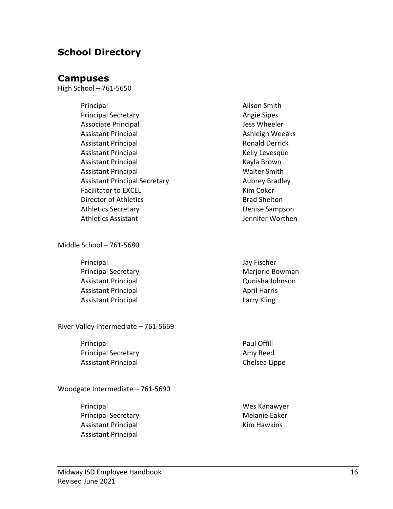#### <span id="page-15-1"></span><span id="page-15-0"></span>**School Directory**

#### **Campuses**

High School – 761-5650

Principal **Alison Smith** Principal Secretary **Angie Sipes** Angie Sipes Associate Principal and Tess Wheeler Assistant Principal **Ashleigh Weeaks** Ashleigh Weeaks Assistant Principal **Ronald Derrick** Ronald Derrick Assistant Principal **Kelly Levesque** Kelly Levesque Assistant Principal **Kayla Brown** Kayla Brown Assistant Principal Walter Smith Assistant Principal Secretary Manuel Aubrey Bradley Facilitator to EXCEL **Kim Coker** Kim Coker Director of Athletics and Shelton Brad Shelton Athletics Secretary **Denise Sampson** Athletics Assistant and Tennifer Worthen

Middle School – 761-5680

Principal Jay Fischer Principal Secretary **Mariorie Bowman** Assistant Principal Qunisha Johnson Assistant Principal April Harris April Harris Assistant Principal **Lack Contract Contract Contract Contract Contract Contract Contract Contract Contract Contract Contract Contract Contract Contract Contract Contract Contract Contract Contract Contract Contract Contrac** 

River Valley Intermediate – 761-5669

Principal **Principal** Paul Offill Principal Secretary **Amy Reed Amy Reed** Assistant Principal **Chelsea** Lippe

Woodgate Intermediate – 761-5690

Principal Wes Kanawyer Principal Secretary **Melanie Eaker** Melanie Eaker Assistant Principal **Kim Hawkins** Assistant Principal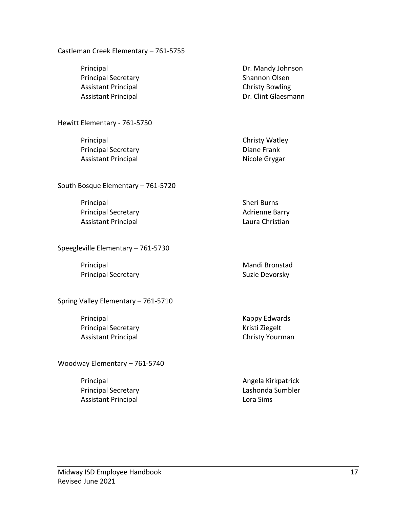#### Castleman Creek Elementary – 761-5755

Principal Secretary **Shannon Olsen** Assistant Principal **Christy Bowling** 

Hewitt Elementary - 761-5750

Principal **Christy Watley** Principal Secretary **Diane Frank** Assistant Principal Nicole Grygar

South Bosque Elementary – 761-5720

Principal Sheri Burns Principal Secretary **Adrigation** Barry Adrienne Barry Assistant Principal **Laura Christian** 

Speegleville Elementary – 761-5730

Principal Mandi Bronstad Principal Secretary **Suzie Devorsky** Suzie Devorsky

Spring Valley Elementary – 761-5710

Principal **Exercise Services** Contract Contract Contract Contract Contract Contract Contract Contract Contract Contract Contract Contract Contract Contract Contract Contract Contract Contract Contract Contract Contract Con Principal Secretary **Kristi Ziegelt** Kristi Ziegelt Assistant Principal **Christy Yourman** 

Woodway Elementary – 761-5740

Principal **Angela Kirkpatrick** Assistant Principal **Lora Sims** 

Principal Dr. Mandy Johnson Assistant Principal **Dr.** Clint Glaesmann

Principal Secretary **Lashonda Sumbler**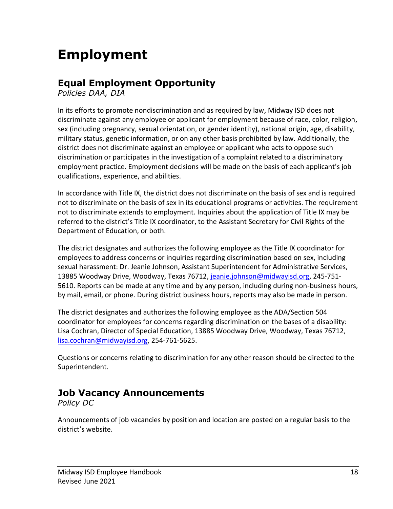# <span id="page-17-0"></span>**Employment**

#### <span id="page-17-1"></span>**Equal Employment Opportunity**

*Policies DAA, DIA*

In its efforts to promote nondiscrimination and as required by law, Midway ISD does not discriminate against any employee or applicant for employment because of race, color, religion, sex (including pregnancy, sexual orientation, or gender identity), national origin, age, disability, military status, genetic information, or on any other basis prohibited by law. Additionally, the district does not discriminate against an employee or applicant who acts to oppose such discrimination or participates in the investigation of a complaint related to a discriminatory employment practice. Employment decisions will be made on the basis of each applicant's job qualifications, experience, and abilities.

In accordance with Title IX, the district does not discriminate on the basis of sex and is required not to discriminate on the basis of sex in its educational programs or activities. The requirement not to discriminate extends to employment. Inquiries about the application of Title IX may be referred to the district's Title IX coordinator, to the Assistant Secretary for Civil Rights of the Department of Education, or both.

The district designates and authorizes the following employee as the Title IX coordinator for employees to address concerns or inquiries regarding discrimination based on sex, including sexual harassment: Dr. Jeanie Johnson, Assistant Superintendent for Administrative Services, 13885 Woodway Drive, Woodway, Texas 76712, [jeanie.johnson@midwayisd.org,](mailto:jeanie.johnson@midwayisd.org) 245-751- 5610. Reports can be made at any time and by any person, including during non-business hours, by mail, email, or phone. During district business hours, reports may also be made in person.

The district designates and authorizes the following employee as the ADA/Section 504 coordinator for employees for concerns regarding discrimination on the bases of a disability: Lisa Cochran, Director of Special Education, 13885 Woodway Drive, Woodway, Texas 76712, [lisa.cochran@midwayisd.org,](mailto:lisa.cochran@midwayisd.org) 254-761-5625.

Questions or concerns relating to discrimination for any other reason should be directed to the Superintendent.

#### <span id="page-17-2"></span>**Job Vacancy Announcements**

*Policy DC*

Announcements of job vacancies by position and location are posted on a regular basis to the district's website.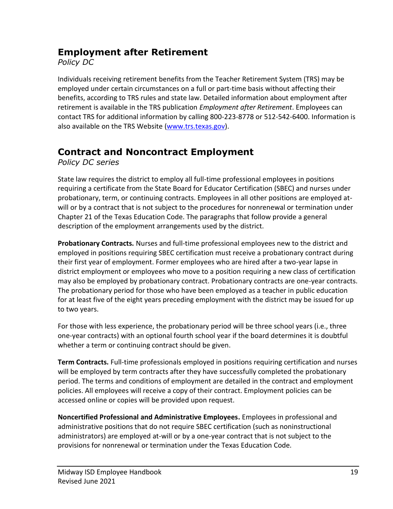#### <span id="page-18-0"></span>**Employment after Retirement**

*Policy DC*

Individuals receiving retirement benefits from the Teacher Retirement System (TRS) may be employed under certain circumstances on a full or part-time basis without affecting their benefits, according to TRS rules and state law. Detailed information about employment after retirement is available in the TRS publication *Employment after Retirement*. Employees can contact TRS for additional information by calling 800-223-8778 or 512-542-6400. Information is also available on the TRS Website [\(www.trs.texas.gov\)](http://www.trs.texas.gov/).

## <span id="page-18-1"></span>**Contract and Noncontract Employment**

*Policy DC series*

State law requires the district to employ all full-time professional employees in positions requiring a certificate from the State Board for Educator Certification (SBEC) and nurses under probationary, term, or continuing contracts. Employees in all other positions are employed atwill or by a contract that is not subject to the procedures for nonrenewal or termination under Chapter 21 of the Texas Education Code. The paragraphs that follow provide a general description of the employment arrangements used by the district.

**Probationary Contracts.** Nurses and full-time professional employees new to the district and employed in positions requiring SBEC certification must receive a probationary contract during their first year of employment. Former employees who are hired after a two-year lapse in district employment or employees who move to a position requiring a new class of certification may also be employed by probationary contract. Probationary contracts are one-year contracts. The probationary period for those who have been employed as a teacher in public education for at least five of the eight years preceding employment with the district may be issued for up to two years.

For those with less experience, the probationary period will be three school years (i.e., three one-year contracts) with an optional fourth school year if the board determines it is doubtful whether a term or continuing contract should be given.

**Term Contracts.** Full-time professionals employed in positions requiring certification and nurses will be employed by term contracts after they have successfully completed the probationary period. The terms and conditions of employment are detailed in the contract and employment policies. All employees will receive a copy of their contract. Employment policies can be accessed online or copies will be provided upon request.

**Noncertified Professional and Administrative Employees.** Employees in professional and administrative positions that do not require SBEC certification (such as noninstructional administrators) are employed at-will or by a one-year contract that is not subject to the provisions for nonrenewal or termination under the Texas Education Code.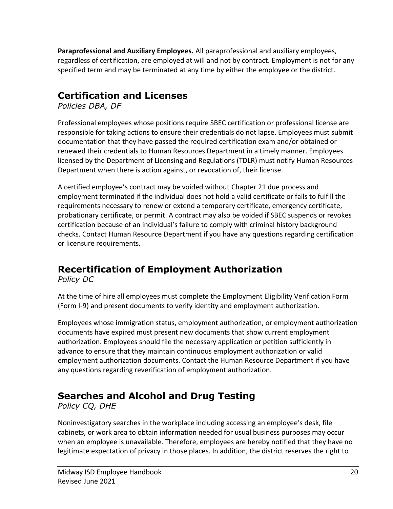**Paraprofessional and Auxiliary Employees.** All paraprofessional and auxiliary employees, regardless of certification, are employed at will and not by contract. Employment is not for any specified term and may be terminated at any time by either the employee or the district.

#### <span id="page-19-0"></span>**Certification and Licenses**

*Policies DBA, DF*

Professional employees whose positions require SBEC certification or professional license are responsible for taking actions to ensure their credentials do not lapse. Employees must submit documentation that they have passed the required certification exam and/or obtained or renewed their credentials to Human Resources Department in a timely manner. Employees licensed by the Department of Licensing and Regulations (TDLR) must notify Human Resources Department when there is action against, or revocation of, their license.

A certified employee's contract may be voided without Chapter 21 due process and employment terminated if the individual does not hold a valid certificate or fails to fulfill the requirements necessary to renew or extend a temporary certificate, emergency certificate, probationary certificate, or permit. A contract may also be voided if SBEC suspends or revokes certification because of an individual's failure to comply with criminal history background checks. Contact Human Resource Department if you have any questions regarding certification or licensure requirements.

# <span id="page-19-1"></span>**Recertification of Employment Authorization**

*Policy DC*

At the time of hire all employees must complete the Employment Eligibility Verification Form (Form I-9) and present documents to verify identity and employment authorization.

Employees whose immigration status, employment authorization, or employment authorization documents have expired must present new documents that show current employment authorization. Employees should file the necessary application or petition sufficiently in advance to ensure that they maintain continuous employment authorization or valid employment authorization documents. Contact the Human Resource Department if you have any questions regarding reverification of employment authorization.

## <span id="page-19-2"></span>**Searches and Alcohol and Drug Testing**

*Policy CQ, DHE*

Noninvestigatory searches in the workplace including accessing an employee's desk, file cabinets, or work area to obtain information needed for usual business purposes may occur when an employee is unavailable. Therefore, employees are hereby notified that they have no legitimate expectation of privacy in those places. In addition, the district reserves the right to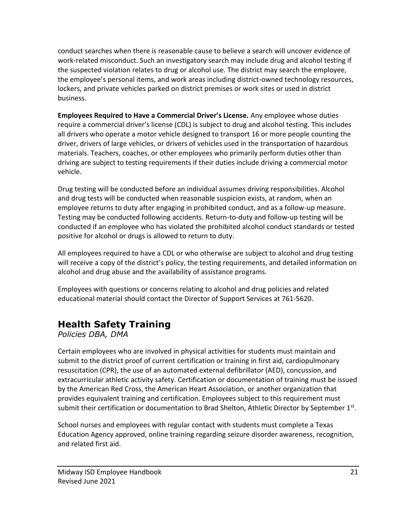conduct searches when there is reasonable cause to believe a search will uncover evidence of work-related misconduct. Such an investigatory search may include drug and alcohol testing if the suspected violation relates to drug or alcohol use. The district may search the employee, the employee's personal items, and work areas including district-owned technology resources, lockers, and private vehicles parked on district premises or work sites or used in district business.

**Employees Required to Have a Commercial Driver's License.** Any employee whose duties require a commercial driver's license (CDL) is subject to drug and alcohol testing. This includes all drivers who operate a motor vehicle designed to transport 16 or more people counting the driver, drivers of large vehicles, or drivers of vehicles used in the transportation of hazardous materials. Teachers, coaches, or other employees who primarily perform duties other than driving are subject to testing requirements if their duties include driving a commercial motor vehicle.

Drug testing will be conducted before an individual assumes driving responsibilities. Alcohol and drug tests will be conducted when reasonable suspicion exists, at random, when an employee returns to duty after engaging in prohibited conduct, and as a follow-up measure. Testing may be conducted following accidents. Return-to-duty and follow-up testing will be conducted if an employee who has violated the prohibited alcohol conduct standards or tested positive for alcohol or drugs is allowed to return to duty.

All employees required to have a CDL or who otherwise are subject to alcohol and drug testing will receive a copy of the district's policy, the testing requirements, and detailed information on alcohol and drug abuse and the availability of assistance programs.

Employees with questions or concerns relating to alcohol and drug policies and related educational material should contact the Director of Support Services at 761-5620.

## <span id="page-20-0"></span>**Health Safety Training**

*Policies DBA, DMA*

Certain employees who are involved in physical activities for students must maintain and submit to the district proof of current certification or training in first aid, cardiopulmonary resuscitation (CPR), the use of an automated external defibrillator (AED), concussion, and extracurricular athletic activity safety. Certification or documentation of training must be issued by the American Red Cross, the American Heart Association, or another organization that provides equivalent training and certification. Employees subject to this requirement must submit their certification or documentation to Brad Shelton, Athletic Director by September 1st.

School nurses and employees with regular contact with students must complete a Texas Education Agency approved, online training regarding seizure disorder awareness, recognition, and related first aid.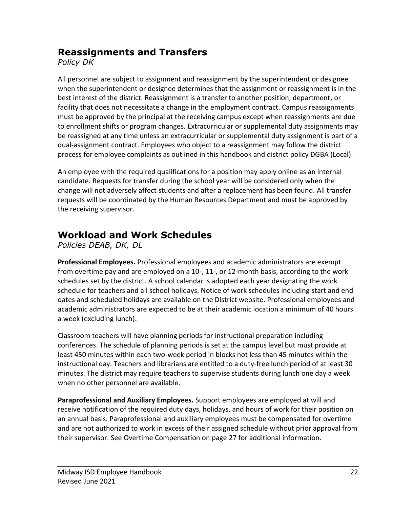#### <span id="page-21-0"></span>**Reassignments and Transfers**

*Policy DK*

All personnel are subject to assignment and reassignment by the superintendent or designee when the superintendent or designee determines that the assignment or reassignment is in the best interest of the district. Reassignment is a transfer to another position, department, or facility that does not necessitate a change in the employment contract. Campus reassignments must be approved by the principal at the receiving campus except when reassignments are due to enrollment shifts or program changes. Extracurricular or supplemental duty assignments may be reassigned at any time unless an extracurricular or supplemental duty assignment is part of a dual-assignment contract. Employees who object to a reassignment may follow the district process for employee complaints as outlined in this handbook and district policy DGBA (Local).

An employee with the required qualifications for a position may apply online as an internal candidate. Requests for transfer during the school year will be considered only when the change will not adversely affect students and after a replacement has been found. All transfer requests will be coordinated by the Human Resources Department and must be approved by the receiving supervisor.

## <span id="page-21-1"></span>**Workload and Work Schedules**

*Policies DEAB, DK, DL*

**Professional Employees.** Professional employees and academic administrators are exempt from overtime pay and are employed on a 10-, 11-, or 12-month basis, according to the work schedules set by the district. A school calendar is adopted each year designating the work schedule for teachers and all school holidays. Notice of work schedules including start and end dates and scheduled holidays are available on the District website. Professional employees and academic administrators are expected to be at their academic location a minimum of 40 hours a week (excluding lunch).

Classroom teachers will have planning periods for instructional preparation including conferences. The schedule of planning periods is set at the campus level but must provide at least 450 minutes within each two-week period in blocks not less than 45 minutes within the instructional day. Teachers and librarians are entitled to a duty-free lunch period of at least 30 minutes. The district may require teachers to supervise students during lunch one day a week when no other personnel are available.

**Paraprofessional and Auxiliary Employees.** Support employees are employed at will and receive notification of the required duty days, holidays, and hours of work for their position on an annual basis. Paraprofessional and auxiliary employees must be compensated for overtime and are not authorized to work in excess of their assigned schedule without prior approval from their supervisor. See Overtime Compensation on page 27 for additional information.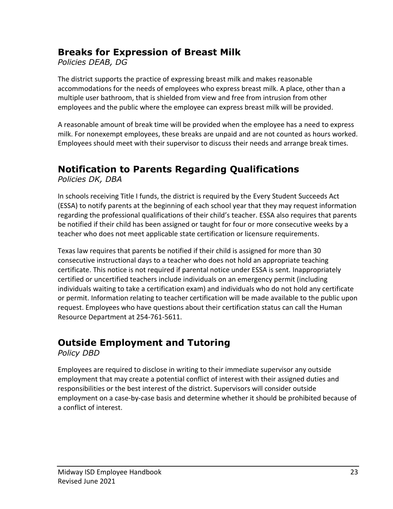#### <span id="page-22-0"></span>**Breaks for Expression of Breast Milk**

*Policies DEAB, DG*

The district supports the practice of expressing breast milk and makes reasonable accommodations for the needs of employees who express breast milk. A place, other than a multiple user bathroom, that is shielded from view and free from intrusion from other employees and the public where the employee can express breast milk will be provided.

A reasonable amount of break time will be provided when the employee has a need to express milk. For nonexempt employees, these breaks are unpaid and are not counted as hours worked. Employees should meet with their supervisor to discuss their needs and arrange break times.

## <span id="page-22-1"></span>**Notification to Parents Regarding Qualifications**

*Policies DK, DBA*

In schools receiving Title I funds, the district is required by the Every Student Succeeds Act (ESSA) to notify parents at the beginning of each school year that they may request information regarding the professional qualifications of their child's teacher. ESSA also requires that parents be notified if their child has been assigned or taught for four or more consecutive weeks by a teacher who does not meet applicable state certification or licensure requirements.

Texas law requires that parents be notified if their child is assigned for more than 30 consecutive instructional days to a teacher who does not hold an appropriate teaching certificate. This notice is not required if parental notice under ESSA is sent. Inappropriately certified or uncertified teachers include individuals on an emergency permit (including individuals waiting to take a certification exam) and individuals who do not hold any certificate or permit. Information relating to teacher certification will be made available to the public upon request. Employees who have questions about their certification status can call the Human Resource Department at 254-761-5611.

#### <span id="page-22-2"></span>**Outside Employment and Tutoring**

*Policy DBD*

Employees are required to disclose in writing to their immediate supervisor any outside employment that may create a potential conflict of interest with their assigned duties and responsibilities or the best interest of the district. Supervisors will consider outside employment on a case-by-case basis and determine whether it should be prohibited because of a conflict of interest.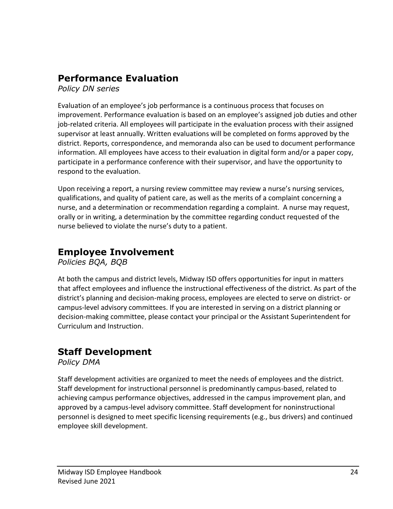#### <span id="page-23-0"></span>**Performance Evaluation**

*Policy DN series*

Evaluation of an employee's job performance is a continuous process that focuses on improvement. Performance evaluation is based on an employee's assigned job duties and other job-related criteria. All employees will participate in the evaluation process with their assigned supervisor at least annually. Written evaluations will be completed on forms approved by the district. Reports, correspondence, and memoranda also can be used to document performance information. All employees have access to their evaluation in digital form and/or a paper copy, participate in a performance conference with their supervisor, and have the opportunity to respond to the evaluation.

Upon receiving a report, a nursing review committee may review a nurse's nursing services, qualifications, and quality of patient care, as well as the merits of a complaint concerning a nurse, and a determination or recommendation regarding a complaint. A nurse may request, orally or in writing, a determination by the committee regarding conduct requested of the nurse believed to violate the nurse's duty to a patient.

# <span id="page-23-1"></span>**Employee Involvement**

*Policies BQA, BQB*

At both the campus and district levels, Midway ISD offers opportunities for input in matters that affect employees and influence the instructional effectiveness of the district. As part of the district's planning and decision-making process, employees are elected to serve on district- or campus-level advisory committees. If you are interested in serving on a district planning or decision-making committee, please contact your principal or the Assistant Superintendent for Curriculum and Instruction.

## <span id="page-23-2"></span>**Staff Development**

*Policy DMA*

Staff development activities are organized to meet the needs of employees and the district. Staff development for instructional personnel is predominantly campus-based, related to achieving campus performance objectives, addressed in the campus improvement plan, and approved by a campus-level advisory committee. Staff development for noninstructional personnel is designed to meet specific licensing requirements (e.g., bus drivers) and continued employee skill development.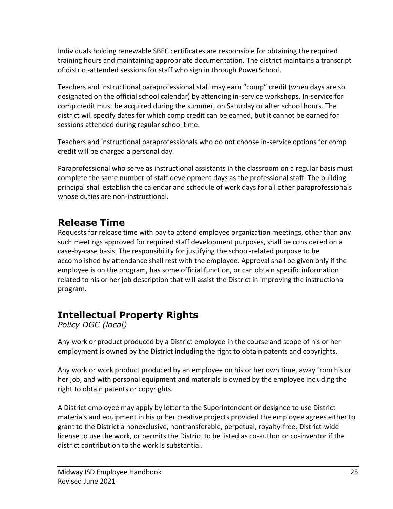Individuals holding renewable SBEC certificates are responsible for obtaining the required training hours and maintaining appropriate documentation. The district maintains a transcript of district-attended sessions for staff who sign in through PowerSchool.

Teachers and instructional paraprofessional staff may earn "comp" credit (when days are so designated on the official school calendar) by attending in-service workshops. In-service for comp credit must be acquired during the summer, on Saturday or after school hours. The district will specify dates for which comp credit can be earned, but it cannot be earned for sessions attended during regular school time.

Teachers and instructional paraprofessionals who do not choose in-service options for comp credit will be charged a personal day.

Paraprofessional who serve as instructional assistants in the classroom on a regular basis must complete the same number of staff development days as the professional staff. The building principal shall establish the calendar and schedule of work days for all other paraprofessionals whose duties are non-instructional.

#### <span id="page-24-0"></span>**Release Time**

Requests for release time with pay to attend employee organization meetings, other than any such meetings approved for required staff development purposes, shall be considered on a case-by-case basis. The responsibility for justifying the school-related purpose to be accomplished by attendance shall rest with the employee. Approval shall be given only if the employee is on the program, has some official function, or can obtain specific information related to his or her job description that will assist the District in improving the instructional program.

# <span id="page-24-1"></span>**Intellectual Property Rights**

*Policy DGC (local)*

Any work or product produced by a District employee in the course and scope of his or her employment is owned by the District including the right to obtain patents and copyrights.

Any work or work product produced by an employee on his or her own time, away from his or her job, and with personal equipment and materials is owned by the employee including the right to obtain patents or copyrights.

A District employee may apply by letter to the Superintendent or designee to use District materials and equipment in his or her creative projects provided the employee agrees either to grant to the District a nonexclusive, nontransferable, perpetual, royalty-free, District-wide license to use the work, or permits the District to be listed as co-author or co-inventor if the district contribution to the work is substantial.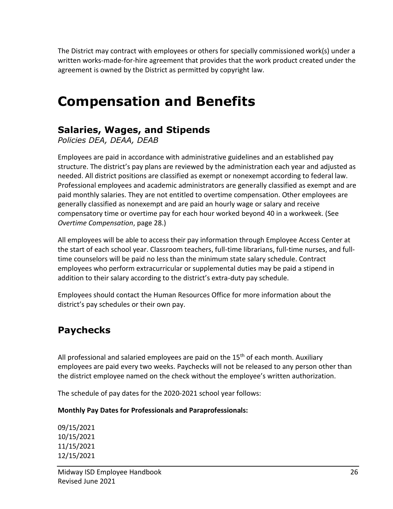The District may contract with employees or others for specially commissioned work(s) under a written works-made-for-hire agreement that provides that the work product created under the agreement is owned by the District as permitted by copyright law.

# <span id="page-25-0"></span>**Compensation and Benefits**

#### <span id="page-25-1"></span>**Salaries, Wages, and Stipends**

*Policies DEA, DEAA, DEAB*

Employees are paid in accordance with administrative guidelines and an established pay structure. The district's pay plans are reviewed by the administration each year and adjusted as needed. All district positions are classified as exempt or nonexempt according to federal law. Professional employees and academic administrators are generally classified as exempt and are paid monthly salaries. They are not entitled to overtime compensation. Other employees are generally classified as nonexempt and are paid an hourly wage or salary and receive compensatory time or overtime pay for each hour worked beyond 40 in a workweek. (See *Overtime Compensation*, page 28.)

All employees will be able to access their pay information through Employee Access Center at the start of each school year. Classroom teachers, full-time librarians, full-time nurses, and fulltime counselors will be paid no less than the minimum state salary schedule. Contract employees who perform extracurricular or supplemental duties may be paid a stipend in addition to their salary according to the district's extra-duty pay schedule.

Employees should contact the Human Resources Office for more information about the district's pay schedules or their own pay.

## <span id="page-25-2"></span>**Paychecks**

All professional and salaried employees are paid on the  $15<sup>th</sup>$  of each month. Auxiliary employees are paid every two weeks. Paychecks will not be released to any person other than the district employee named on the check without the employee's written authorization.

The schedule of pay dates for the 2020-2021 school year follows:

#### **Monthly Pay Dates for Professionals and Paraprofessionals:**

09/15/2021 10/15/2021 11/15/2021 12/15/2021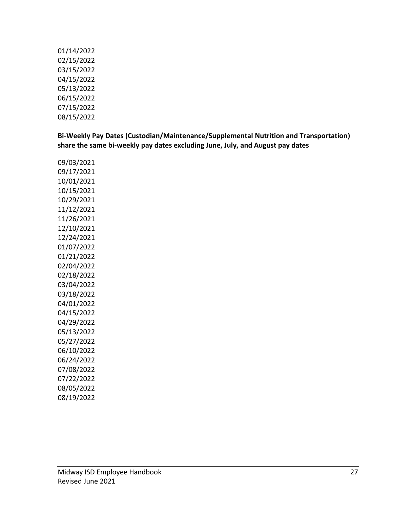01/14/2022 02/15/2022 03/15/2022 04/15/2022 05/13/2022 06/15/2022 07/15/2022 08/15/2022

**Bi-Weekly Pay Dates (Custodian/Maintenance/Supplemental Nutrition and Transportation) share the same bi-weekly pay dates excluding June, July, and August pay dates**

09/03/2021 09/17/2021 10/01/2021 10/15/2021 10/29/2021 11/12/2021 11/26/2021 12/10/2021 12/24/2021 01/07/2022 01/21/2022 02/04/2022 02/18/2022 03/04/2022 03/18/2022 04/01/2022 04/15/2022 04/29/2022 05/13/2022 05/27/2022 06/10/2022 06/24/2022 07/08/2022 07/22/2022 08/05/2022 08/19/2022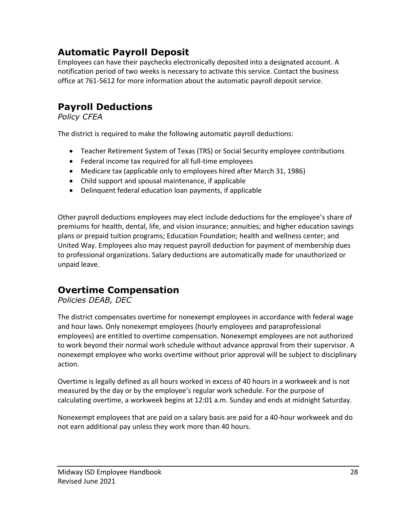## <span id="page-27-0"></span>**Automatic Payroll Deposit**

Employees can have their paychecks electronically deposited into a designated account. A notification period of two weeks is necessary to activate this service. Contact the business office at 761-5612 for more information about the automatic payroll deposit service.

#### <span id="page-27-1"></span>**Payroll Deductions**

*Policy CFEA*

The district is required to make the following automatic payroll deductions:

- Teacher Retirement System of Texas (TRS) or Social Security employee contributions
- Federal income tax required for all full-time employees
- Medicare tax (applicable only to employees hired after March 31, 1986)
- Child support and spousal maintenance, if applicable
- Delinquent federal education loan payments, if applicable

Other payroll deductions employees may elect include deductions for the employee's share of premiums for health, dental, life, and vision insurance; annuities; and higher education savings plans or prepaid tuition programs; Education Foundation; health and wellness center; and United Way. Employees also may request payroll deduction for payment of membership dues to professional organizations. Salary deductions are automatically made for unauthorized or unpaid leave.

#### <span id="page-27-2"></span>**Overtime Compensation**

*Policies DEAB, DEC*

The district compensates overtime for nonexempt employees in accordance with federal wage and hour laws. Only nonexempt employees (hourly employees and paraprofessional employees) are entitled to overtime compensation. Nonexempt employees are not authorized to work beyond their normal work schedule without advance approval from their supervisor. A nonexempt employee who works overtime without prior approval will be subject to disciplinary action.

Overtime is legally defined as all hours worked in excess of 40 hours in a workweek and is not measured by the day or by the employee's regular work schedule. For the purpose of calculating overtime, a workweek begins at 12:01 a.m. Sunday and ends at midnight Saturday.

Nonexempt employees that are paid on a salary basis are paid for a 40-hour workweek and do not earn additional pay unless they work more than 40 hours.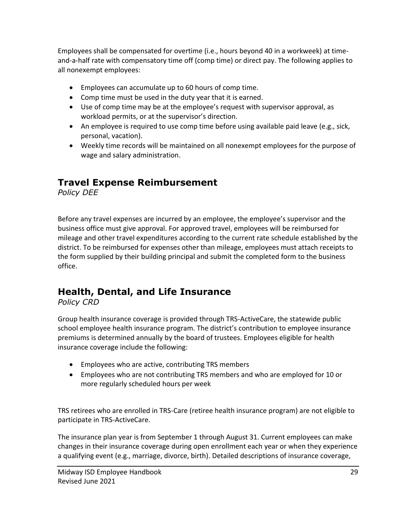Employees shall be compensated for overtime (i.e., hours beyond 40 in a workweek) at timeand-a-half rate with compensatory time off (comp time) or direct pay. The following applies to all nonexempt employees:

- Employees can accumulate up to 60 hours of comp time.
- Comp time must be used in the duty year that it is earned.
- Use of comp time may be at the employee's request with supervisor approval, as workload permits, or at the supervisor's direction.
- An employee is required to use comp time before using available paid leave (e.g., sick, personal, vacation).
- Weekly time records will be maintained on all nonexempt employees for the purpose of wage and salary administration.

#### **Travel Expense Reimbursement**

*Policy DEE*

Before any travel expenses are incurred by an employee, the employee's supervisor and the business office must give approval. For approved travel, employees will be reimbursed for mileage and other travel expenditures according to the current rate schedule established by the district. To be reimbursed for expenses other than mileage, employees must attach receipts to the form supplied by their building principal and submit the completed form to the business office.

#### <span id="page-28-0"></span>**Health, Dental, and Life Insurance**

*Policy CRD*

Group health insurance coverage is provided through TRS-ActiveCare, the statewide public school employee health insurance program. The district's contribution to employee insurance premiums is determined annually by the board of trustees. Employees eligible for health insurance coverage include the following:

- Employees who are active, contributing TRS members
- Employees who are not contributing TRS members and who are employed for 10 or more regularly scheduled hours per week

TRS retirees who are enrolled in TRS-Care (retiree health insurance program) are not eligible to participate in TRS-ActiveCare.

The insurance plan year is from September 1 through August 31. Current employees can make changes in their insurance coverage during open enrollment each year or when they experience a qualifying event (e.g., marriage, divorce, birth). Detailed descriptions of insurance coverage,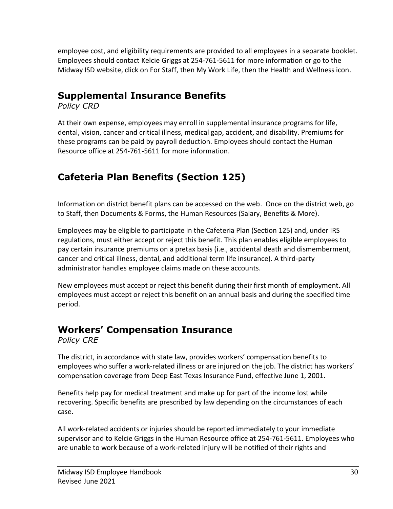employee cost, and eligibility requirements are provided to all employees in a separate booklet. Employees should contact Kelcie Griggs at 254-761-5611 for more information or go to the Midway ISD website, click on For Staff, then My Work Life, then the Health and Wellness icon.

#### <span id="page-29-0"></span>**Supplemental Insurance Benefits**

*Policy CRD*

At their own expense, employees may enroll in supplemental insurance programs for life, dental, vision, cancer and critical illness, medical gap, accident, and disability. Premiums for these programs can be paid by payroll deduction. Employees should contact the Human Resource office at 254-761-5611 for more information.

# <span id="page-29-1"></span>**Cafeteria Plan Benefits (Section 125)**

Information on district benefit plans can be accessed on the web. Once on the district web, go to Staff, then Documents & Forms, the Human Resources (Salary, Benefits & More).

Employees may be eligible to participate in the Cafeteria Plan (Section 125) and, under IRS regulations, must either accept or reject this benefit. This plan enables eligible employees to pay certain insurance premiums on a pretax basis (i.e., accidental death and dismemberment, cancer and critical illness, dental, and additional term life insurance). A third-party administrator handles employee claims made on these accounts.

New employees must accept or reject this benefit during their first month of employment. All employees must accept or reject this benefit on an annual basis and during the specified time period.

# <span id="page-29-2"></span>**Workers' Compensation Insurance**

*Policy CRE*

The district, in accordance with state law, provides workers' compensation benefits to employees who suffer a work-related illness or are injured on the job. The district has workers' compensation coverage from Deep East Texas Insurance Fund, effective June 1, 2001.

Benefits help pay for medical treatment and make up for part of the income lost while recovering. Specific benefits are prescribed by law depending on the circumstances of each case.

All work-related accidents or injuries should be reported immediately to your immediate supervisor and to Kelcie Griggs in the Human Resource office at 254-761-5611. Employees who are unable to work because of a work-related injury will be notified of their rights and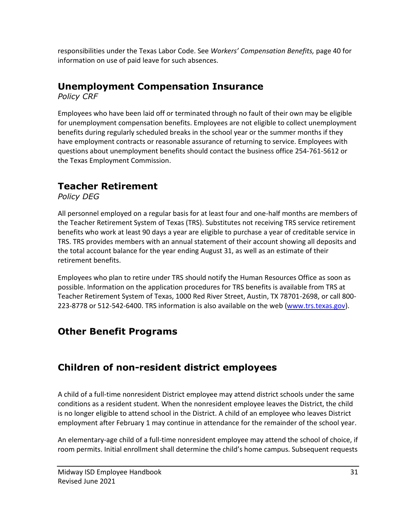responsibilities under the Texas Labor Code. See *Workers' Compensation Benefits,* page 40 for information on use of paid leave for such absences.

#### <span id="page-30-0"></span>**Unemployment Compensation Insurance**

*Policy CRF*

Employees who have been laid off or terminated through no fault of their own may be eligible for unemployment compensation benefits. Employees are not eligible to collect unemployment benefits during regularly scheduled breaks in the school year or the summer months if they have employment contracts or reasonable assurance of returning to service. Employees with questions about unemployment benefits should contact the business office 254-761-5612 or the Texas Employment Commission.

# <span id="page-30-1"></span>**Teacher Retirement**

*Policy DEG*

All personnel employed on a regular basis for at least four and one-half months are members of the Teacher Retirement System of Texas (TRS). Substitutes not receiving TRS service retirement benefits who work at least 90 days a year are eligible to purchase a year of creditable service in TRS. TRS provides members with an annual statement of their account showing all deposits and the total account balance for the year ending August 31, as well as an estimate of their retirement benefits.

Employees who plan to retire under TRS should notify the Human Resources Office as soon as possible. Information on the application procedures for TRS benefits is available from TRS at Teacher Retirement System of Texas, 1000 Red River Street, Austin, TX 78701-2698, or call 800- 223-8778 or 512-542-6400. TRS information is also available on the web [\(www.trs.texas.gov\)](http://www.trs.texas.gov/).

## <span id="page-30-2"></span>**Other Benefit Programs**

## <span id="page-30-3"></span>**Children of non-resident district employees**

A child of a full-time nonresident District employee may attend district schools under the same conditions as a resident student. When the nonresident employee leaves the District, the child is no longer eligible to attend school in the District. A child of an employee who leaves District employment after February 1 may continue in attendance for the remainder of the school year.

An elementary-age child of a full-time nonresident employee may attend the school of choice, if room permits. Initial enrollment shall determine the child's home campus. Subsequent requests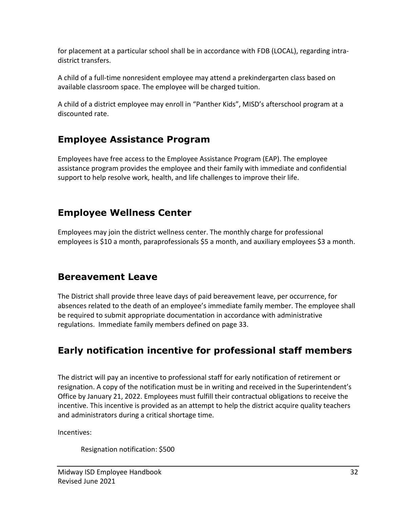for placement at a particular school shall be in accordance with FDB (LOCAL), regarding intradistrict transfers.

A child of a full-time nonresident employee may attend a prekindergarten class based on available classroom space. The employee will be charged tuition.

A child of a district employee may enroll in "Panther Kids", MISD's afterschool program at a discounted rate.

#### <span id="page-31-0"></span>**Employee Assistance Program**

Employees have free access to the Employee Assistance Program (EAP). The employee assistance program provides the employee and their family with immediate and confidential support to help resolve work, health, and life challenges to improve their life.

#### <span id="page-31-1"></span>**Employee Wellness Center**

Employees may join the district wellness center. The monthly charge for professional employees is \$10 a month, paraprofessionals \$5 a month, and auxiliary employees \$3 a month.

#### <span id="page-31-2"></span>**Bereavement Leave**

The District shall provide three leave days of paid bereavement leave, per occurrence, for absences related to the death of an employee's immediate family member. The employee shall be required to submit appropriate documentation in accordance with administrative regulations. Immediate family members defined on page 33.

# <span id="page-31-3"></span>**Early notification incentive for professional staff members**

The district will pay an incentive to professional staff for early notification of retirement or resignation. A copy of the notification must be in writing and received in the Superintendent's Office by January 21, 2022. Employees must fulfill their contractual obligations to receive the incentive. This incentive is provided as an attempt to help the district acquire quality teachers and administrators during a critical shortage time.

Incentives:

Resignation notification: \$500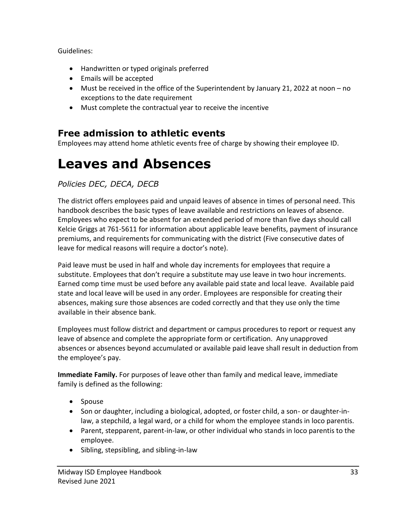Guidelines:

- Handwritten or typed originals preferred
- Emails will be accepted
- Must be received in the office of the Superintendent by January 21, 2022 at noon no exceptions to the date requirement
- Must complete the contractual year to receive the incentive

#### <span id="page-32-0"></span>**Free admission to athletic events**

Employees may attend home athletic events free of charge by showing their employee ID.

# <span id="page-32-1"></span>**Leaves and Absences**

#### *Policies DEC, DECA, DECB*

The district offers employees paid and unpaid leaves of absence in times of personal need. This handbook describes the basic types of leave available and restrictions on leaves of absence. Employees who expect to be absent for an extended period of more than five days should call Kelcie Griggs at 761-5611 for information about applicable leave benefits, payment of insurance premiums, and requirements for communicating with the district (Five consecutive dates of leave for medical reasons will require a doctor's note).

Paid leave must be used in half and whole day increments for employees that require a substitute. Employees that don't require a substitute may use leave in two hour increments. Earned comp time must be used before any available paid state and local leave. Available paid state and local leave will be used in any order. Employees are responsible for creating their absences, making sure those absences are coded correctly and that they use only the time available in their absence bank.

Employees must follow district and department or campus procedures to report or request any leave of absence and complete the appropriate form or certification. Any unapproved absences or absences beyond accumulated or available paid leave shall result in deduction from the employee's pay.

**Immediate Family.** For purposes of leave other than family and medical leave, immediate family is defined as the following:

- Spouse
- Son or daughter, including a biological, adopted, or foster child, a son- or daughter-inlaw, a stepchild, a legal ward, or a child for whom the employee stands in loco parentis.
- Parent, stepparent, parent-in-law, or other individual who stands in loco parentis to the employee.
- Sibling, stepsibling, and sibling-in-law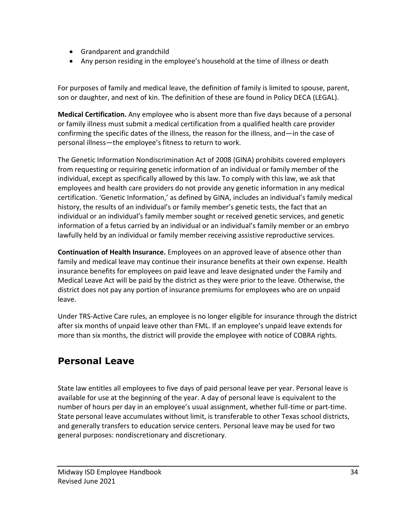- Grandparent and grandchild
- Any person residing in the employee's household at the time of illness or death

For purposes of family and medical leave, the definition of family is limited to spouse, parent, son or daughter, and next of kin. The definition of these are found in Policy DECA (LEGAL).

**Medical Certification.** Any employee who is absent more than five days because of a personal or family illness must submit a medical certification from a qualified health care provider confirming the specific dates of the illness, the reason for the illness, and—in the case of personal illness—the employee's fitness to return to work.

The Genetic Information Nondiscrimination Act of 2008 (GINA) prohibits covered employers from requesting or requiring genetic information of an individual or family member of the individual, except as specifically allowed by this law. To comply with this law, we ask that employees and health care providers do not provide any genetic information in any medical certification. 'Genetic Information,' as defined by GINA, includes an individual's family medical history, the results of an individual's or family member's genetic tests, the fact that an individual or an individual's family member sought or received genetic services, and genetic information of a fetus carried by an individual or an individual's family member or an embryo lawfully held by an individual or family member receiving assistive reproductive services.

**Continuation of Health Insurance.** Employees on an approved leave of absence other than family and medical leave may continue their insurance benefits at their own expense. Health insurance benefits for employees on paid leave and leave designated under the Family and Medical Leave Act will be paid by the district as they were prior to the leave. Otherwise, the district does not pay any portion of insurance premiums for employees who are on unpaid leave.

Under TRS-Active Care rules, an employee is no longer eligible for insurance through the district after six months of unpaid leave other than FML. If an employee's unpaid leave extends for more than six months, the district will provide the employee with notice of COBRA rights.

#### <span id="page-33-0"></span>**Personal Leave**

State law entitles all employees to five days of paid personal leave per year. Personal leave is available for use at the beginning of the year. A day of personal leave is equivalent to the number of hours per day in an employee's usual assignment, whether full-time or part-time. State personal leave accumulates without limit, is transferable to other Texas school districts, and generally transfers to education service centers. Personal leave may be used for two general purposes: nondiscretionary and discretionary.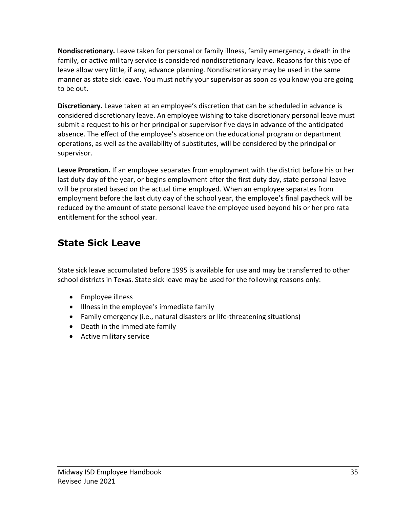**Nondiscretionary.** Leave taken for personal or family illness, family emergency, a death in the family, or active military service is considered nondiscretionary leave. Reasons for this type of leave allow very little, if any, advance planning. Nondiscretionary may be used in the same manner as state sick leave. You must notify your supervisor as soon as you know you are going to be out.

**Discretionary.** Leave taken at an employee's discretion that can be scheduled in advance is considered discretionary leave. An employee wishing to take discretionary personal leave must submit a request to his or her principal or supervisor five days in advance of the anticipated absence. The effect of the employee's absence on the educational program or department operations, as well as the availability of substitutes, will be considered by the principal or supervisor.

**Leave Proration.** If an employee separates from employment with the district before his or her last duty day of the year, or begins employment after the first duty day, state personal leave will be prorated based on the actual time employed. When an employee separates from employment before the last duty day of the school year, the employee's final paycheck will be reduced by the amount of state personal leave the employee used beyond his or her pro rata entitlement for the school year.

## <span id="page-34-0"></span>**State Sick Leave**

State sick leave accumulated before 1995 is available for use and may be transferred to other school districts in Texas. State sick leave may be used for the following reasons only:

- Employee illness
- Illness in the employee's immediate family
- Family emergency (i.e., natural disasters or life-threatening situations)
- Death in the immediate family
- Active military service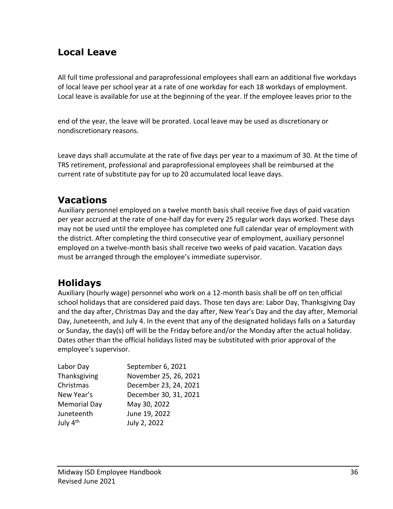#### <span id="page-35-0"></span>**Local Leave**

All full time professional and paraprofessional employees shall earn an additional five workdays of local leave per school year at a rate of one workday for each 18 workdays of employment. Local leave is available for use at the beginning of the year. If the employee leaves prior to the

end of the year, the leave will be prorated. Local leave may be used as discretionary or nondiscretionary reasons.

Leave days shall accumulate at the rate of five days per year to a maximum of 30. At the time of TRS retirement, professional and paraprofessional employees shall be reimbursed at the current rate of substitute pay for up to 20 accumulated local leave days.

#### <span id="page-35-1"></span>**Vacations**

Auxiliary personnel employed on a twelve month basis shall receive five days of paid vacation per year accrued at the rate of one-half day for every 25 regular work days worked. These days may not be used until the employee has completed one full calendar year of employment with the district. After completing the third consecutive year of employment, auxiliary personnel employed on a twelve-month basis shall receive two weeks of paid vacation. Vacation days must be arranged through the employee's immediate supervisor.

## <span id="page-35-2"></span>**Holidays**

Auxiliary (hourly wage) personnel who work on a 12-month basis shall be off on ten official school holidays that are considered paid days. Those ten days are: Labor Day, Thanksgiving Day and the day after, Christmas Day and the day after, New Year's Day and the day after, Memorial Day, Juneteenth, and July 4. In the event that any of the designated holidays falls on a Saturday or Sunday, the day(s) off will be the Friday before and/or the Monday after the actual holiday. Dates other than the official holidays listed may be substituted with prior approval of the employee's supervisor.

| Labor Day            | September 6, 2021     |
|----------------------|-----------------------|
| Thanksgiving         | November 25, 26, 2021 |
| Christmas            | December 23, 24, 2021 |
| New Year's           | December 30, 31, 2021 |
| <b>Memorial Day</b>  | May 30, 2022          |
| Juneteenth           | June 19, 2022         |
| July 4 <sup>th</sup> | July 2, 2022          |
|                      |                       |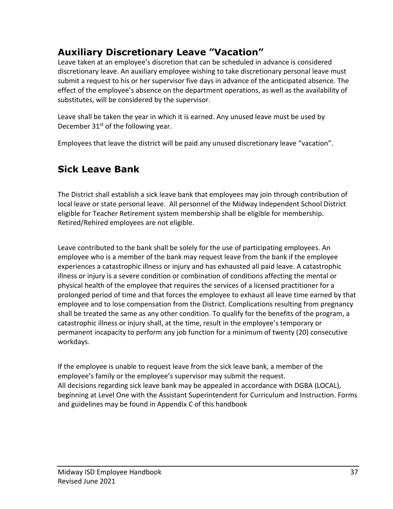## **Auxiliary Discretionary Leave "Vacation"**

Leave taken at an employee's discretion that can be scheduled in advance is considered discretionary leave. An auxiliary employee wishing to take discretionary personal leave must submit a request to his or her supervisor five days in advance of the anticipated absence. The effect of the employee's absence on the department operations, as well as the availability of substitutes, will be considered by the supervisor.

Leave shall be taken the year in which it is earned. Any unused leave must be used by December  $31<sup>st</sup>$  of the following year.

Employees that leave the district will be paid any unused discretionary leave "vacation".

# **Sick Leave Bank**

The District shall establish a sick leave bank that employees may join through contribution of local leave or state personal leave. All personnel of the Midway Independent School District eligible for Teacher Retirement system membership shall be eligible for membership. Retired/Rehired employees are not eligible.

Leave contributed to the bank shall be solely for the use of participating employees. An employee who is a member of the bank may request leave from the bank if the employee experiences a catastrophic illness or injury and has exhausted all paid leave. A catastrophic illness or injury is a severe condition or combination of conditions affecting the mental or physical health of the employee that requires the services of a licensed practitioner for a prolonged period of time and that forces the employee to exhaust all leave time earned by that employee and to lose compensation from the District. Complications resulting from pregnancy shall be treated the same as any other condition. To qualify for the benefits of the program, a catastrophic illness or injury shall, at the time, result in the employee's temporary or permanent incapacity to perform any job function for a minimum of twenty (20) consecutive workdays.

If the employee is unable to request leave from the sick leave bank, a member of the employee's family or the employee's supervisor may submit the request. All decisions regarding sick leave bank may be appealed in accordance with DGBA (LOCAL), beginning at Level One with the Assistant Superintendent for Curriculum and Instruction. Forms and guidelines may be found in Appendix C of this handbook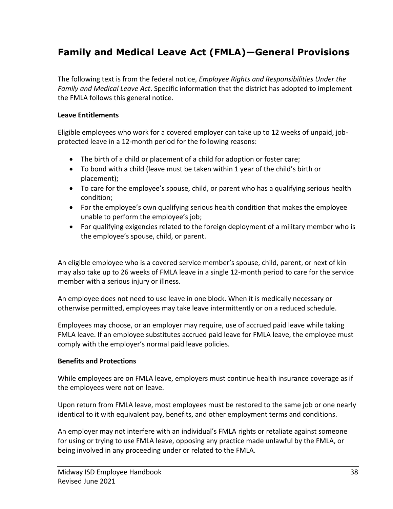# **Family and Medical Leave Act (FMLA)—General Provisions**

The following text is from the federal notice, *Employee Rights and Responsibilities Under the Family and Medical Leave Act*. Specific information that the district has adopted to implement the FMLA follows this general notice.

#### **Leave Entitlements**

Eligible employees who work for a covered employer can take up to 12 weeks of unpaid, jobprotected leave in a 12-month period for the following reasons:

- The birth of a child or placement of a child for adoption or foster care;
- To bond with a child (leave must be taken within 1 year of the child's birth or placement);
- To care for the employee's spouse, child, or parent who has a qualifying serious health condition;
- For the employee's own qualifying serious health condition that makes the employee unable to perform the employee's job;
- For qualifying exigencies related to the foreign deployment of a military member who is the employee's spouse, child, or parent.

An eligible employee who is a covered service member's spouse, child, parent, or next of kin may also take up to 26 weeks of FMLA leave in a single 12-month period to care for the service member with a serious injury or illness.

An employee does not need to use leave in one block. When it is medically necessary or otherwise permitted, employees may take leave intermittently or on a reduced schedule.

Employees may choose, or an employer may require, use of accrued paid leave while taking FMLA leave. If an employee substitutes accrued paid leave for FMLA leave, the employee must comply with the employer's normal paid leave policies.

#### **Benefits and Protections**

While employees are on FMLA leave, employers must continue health insurance coverage as if the employees were not on leave.

Upon return from FMLA leave, most employees must be restored to the same job or one nearly identical to it with equivalent pay, benefits, and other employment terms and conditions.

An employer may not interfere with an individual's FMLA rights or retaliate against someone for using or trying to use FMLA leave, opposing any practice made unlawful by the FMLA, or being involved in any proceeding under or related to the FMLA.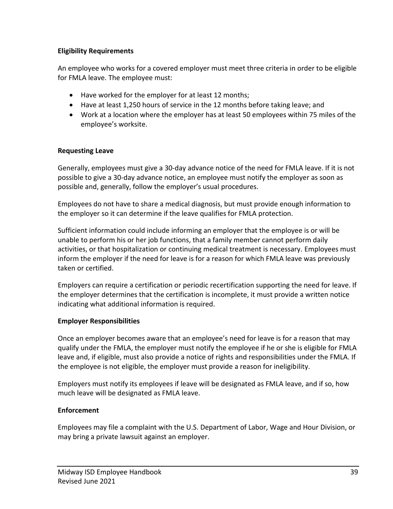#### **Eligibility Requirements**

An employee who works for a covered employer must meet three criteria in order to be eligible for FMLA leave. The employee must:

- Have worked for the employer for at least 12 months;
- Have at least 1,250 hours of service in the 12 months before taking leave; and
- Work at a location where the employer has at least 50 employees within 75 miles of the employee's worksite.

#### **Requesting Leave**

Generally, employees must give a 30-day advance notice of the need for FMLA leave. If it is not possible to give a 30-day advance notice, an employee must notify the employer as soon as possible and, generally, follow the employer's usual procedures.

Employees do not have to share a medical diagnosis, but must provide enough information to the employer so it can determine if the leave qualifies for FMLA protection.

Sufficient information could include informing an employer that the employee is or will be unable to perform his or her job functions, that a family member cannot perform daily activities, or that hospitalization or continuing medical treatment is necessary. Employees must inform the employer if the need for leave is for a reason for which FMLA leave was previously taken or certified.

Employers can require a certification or periodic recertification supporting the need for leave. If the employer determines that the certification is incomplete, it must provide a written notice indicating what additional information is required.

#### **Employer Responsibilities**

Once an employer becomes aware that an employee's need for leave is for a reason that may qualify under the FMLA, the employer must notify the employee if he or she is eligible for FMLA leave and, if eligible, must also provide a notice of rights and responsibilities under the FMLA. If the employee is not eligible, the employer must provide a reason for ineligibility.

Employers must notify its employees if leave will be designated as FMLA leave, and if so, how much leave will be designated as FMLA leave.

#### **Enforcement**

Employees may file a complaint with the U.S. Department of Labor, Wage and Hour Division, or may bring a private lawsuit against an employer.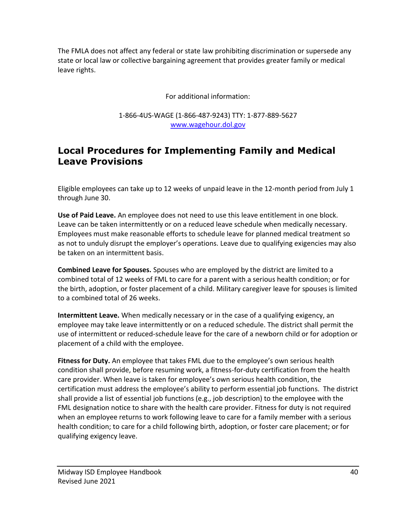The FMLA does not affect any federal or state law prohibiting discrimination or supersede any state or local law or collective bargaining agreement that provides greater family or medical leave rights.

For additional information:

1-866-4US-WAGE (1-866-487-9243) TTY: 1-877-889-5627 [www.wagehour.dol.gov](http://www.wagehour.dol.gov/)

### **Local Procedures for Implementing Family and Medical Leave Provisions**

Eligible employees can take up to 12 weeks of unpaid leave in the 12-month period from July 1 through June 30.

**Use of Paid Leave.** An employee does not need to use this leave entitlement in one block. Leave can be taken intermittently or on a reduced leave schedule when medically necessary. Employees must make reasonable efforts to schedule leave for planned medical treatment so as not to unduly disrupt the employer's operations. Leave due to qualifying exigencies may also be taken on an intermittent basis.

**Combined Leave for Spouses.** Spouses who are employed by the district are limited to a combined total of 12 weeks of FML to care for a parent with a serious health condition; or for the birth, adoption, or foster placement of a child. Military caregiver leave for spouses is limited to a combined total of 26 weeks.

**Intermittent Leave.** When medically necessary or in the case of a qualifying exigency, an employee may take leave intermittently or on a reduced schedule. The district shall permit the use of intermittent or reduced-schedule leave for the care of a newborn child or for adoption or placement of a child with the employee.

**Fitness for Duty.** An employee that takes FML due to the employee's own serious health condition shall provide, before resuming work, a fitness-for-duty certification from the health care provider. When leave is taken for employee's own serious health condition, the certification must address the employee's ability to perform essential job functions. The district shall provide a list of essential job functions (e.g., job description) to the employee with the FML designation notice to share with the health care provider. Fitness for duty is not required when an employee returns to work following leave to care for a family member with a serious health condition; to care for a child following birth, adoption, or foster care placement; or for qualifying exigency leave.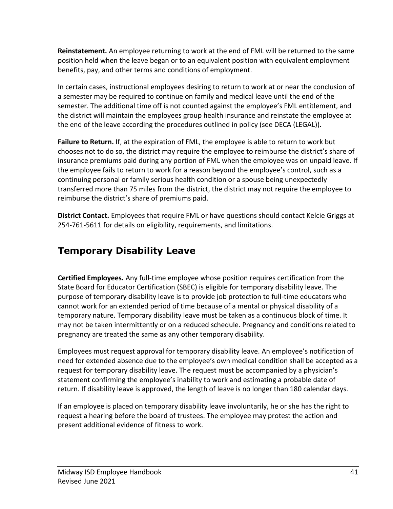**Reinstatement.** An employee returning to work at the end of FML will be returned to the same position held when the leave began or to an equivalent position with equivalent employment benefits, pay, and other terms and conditions of employment.

In certain cases, instructional employees desiring to return to work at or near the conclusion of a semester may be required to continue on family and medical leave until the end of the semester. The additional time off is not counted against the employee's FML entitlement, and the district will maintain the employees group health insurance and reinstate the employee at the end of the leave according the procedures outlined in policy (see DECA (LEGAL)).

**Failure to Return.** If, at the expiration of FML, the employee is able to return to work but chooses not to do so, the district may require the employee to reimburse the district's share of insurance premiums paid during any portion of FML when the employee was on unpaid leave. If the employee fails to return to work for a reason beyond the employee's control, such as a continuing personal or family serious health condition or a spouse being unexpectedly transferred more than 75 miles from the district, the district may not require the employee to reimburse the district's share of premiums paid.

**District Contact.** Employees that require FML or have questions should contact Kelcie Griggs at 254-761-5611 for details on eligibility, requirements, and limitations.

# **Temporary Disability Leave**

**Certified Employees.** Any full-time employee whose position requires certification from the State Board for Educator Certification (SBEC) is eligible for temporary disability leave. The purpose of temporary disability leave is to provide job protection to full-time educators who cannot work for an extended period of time because of a mental or physical disability of a temporary nature. Temporary disability leave must be taken as a continuous block of time. It may not be taken intermittently or on a reduced schedule. Pregnancy and conditions related to pregnancy are treated the same as any other temporary disability.

Employees must request approval for temporary disability leave. An employee's notification of need for extended absence due to the employee's own medical condition shall be accepted as a request for temporary disability leave. The request must be accompanied by a physician's statement confirming the employee's inability to work and estimating a probable date of return. If disability leave is approved, the length of leave is no longer than 180 calendar days.

If an employee is placed on temporary disability leave involuntarily, he or she has the right to request a hearing before the board of trustees. The employee may protest the action and present additional evidence of fitness to work.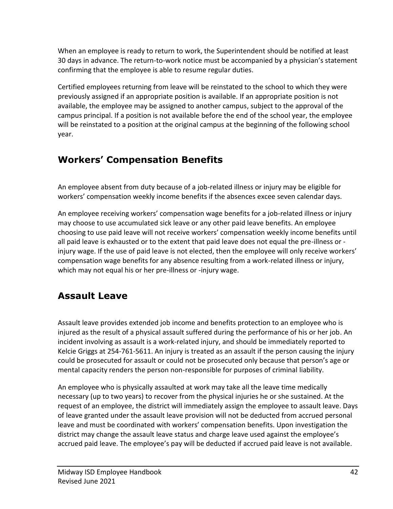When an employee is ready to return to work, the Superintendent should be notified at least 30 days in advance. The return-to-work notice must be accompanied by a physician's statement confirming that the employee is able to resume regular duties.

Certified employees returning from leave will be reinstated to the school to which they were previously assigned if an appropriate position is available. If an appropriate position is not available, the employee may be assigned to another campus, subject to the approval of the campus principal. If a position is not available before the end of the school year, the employee will be reinstated to a position at the original campus at the beginning of the following school year.

# **Workers' Compensation Benefits**

An employee absent from duty because of a job-related illness or injury may be eligible for workers' compensation weekly income benefits if the absences excee seven calendar days.

An employee receiving workers' compensation wage benefits for a job-related illness or injury may choose to use accumulated sick leave or any other paid leave benefits. An employee choosing to use paid leave will not receive workers' compensation weekly income benefits until all paid leave is exhausted or to the extent that paid leave does not equal the pre-illness or injury wage. If the use of paid leave is not elected, then the employee will only receive workers' compensation wage benefits for any absence resulting from a work-related illness or injury, which may not equal his or her pre-illness or -injury wage.

# **Assault Leave**

Assault leave provides extended job income and benefits protection to an employee who is injured as the result of a physical assault suffered during the performance of his or her job. An incident involving as assault is a work-related injury, and should be immediately reported to Kelcie Griggs at 254-761-5611. An injury is treated as an assault if the person causing the injury could be prosecuted for assault or could not be prosecuted only because that person's age or mental capacity renders the person non-responsible for purposes of criminal liability.

An employee who is physically assaulted at work may take all the leave time medically necessary (up to two years) to recover from the physical injuries he or she sustained. At the request of an employee, the district will immediately assign the employee to assault leave. Days of leave granted under the assault leave provision will not be deducted from accrued personal leave and must be coordinated with workers' compensation benefits. Upon investigation the district may change the assault leave status and charge leave used against the employee's accrued paid leave. The employee's pay will be deducted if accrued paid leave is not available.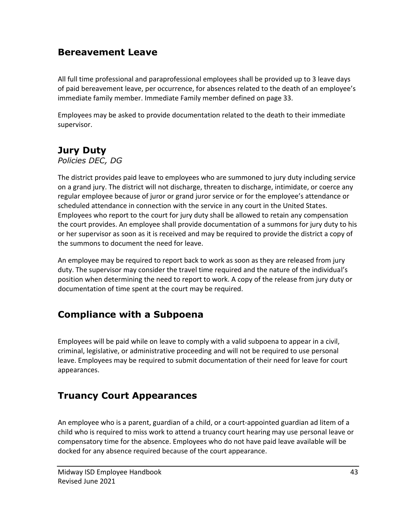#### **Bereavement Leave**

All full time professional and paraprofessional employees shall be provided up to 3 leave days of paid bereavement leave, per occurrence, for absences related to the death of an employee's immediate family member. Immediate Family member defined on page 33.

Employees may be asked to provide documentation related to the death to their immediate supervisor.

### **Jury Duty**

*Policies DEC, DG*

The district provides paid leave to employees who are summoned to jury duty including service on a grand jury. The district will not discharge, threaten to discharge, intimidate, or coerce any regular employee because of juror or grand juror service or for the employee's attendance or scheduled attendance in connection with the service in any court in the United States. Employees who report to the court for jury duty shall be allowed to retain any compensation the court provides. An employee shall provide documentation of a summons for jury duty to his or her supervisor as soon as it is received and may be required to provide the district a copy of the summons to document the need for leave.

An employee may be required to report back to work as soon as they are released from jury duty. The supervisor may consider the travel time required and the nature of the individual's position when determining the need to report to work. A copy of the release from jury duty or documentation of time spent at the court may be required.

### **Compliance with a Subpoena**

Employees will be paid while on leave to comply with a valid subpoena to appear in a civil, criminal, legislative, or administrative proceeding and will not be required to use personal leave. Employees may be required to submit documentation of their need for leave for court appearances.

#### **Truancy Court Appearances**

An employee who is a parent, guardian of a child, or a court-appointed guardian ad litem of a child who is required to miss work to attend a truancy court hearing may use personal leave or compensatory time for the absence. Employees who do not have paid leave available will be docked for any absence required because of the court appearance.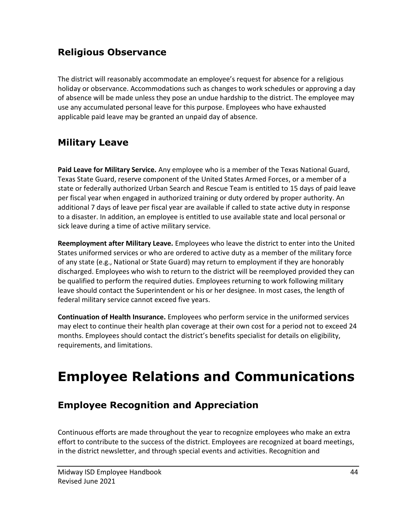### **Religious Observance**

The district will reasonably accommodate an employee's request for absence for a religious holiday or observance. Accommodations such as changes to work schedules or approving a day of absence will be made unless they pose an undue hardship to the district. The employee may use any accumulated personal leave for this purpose. Employees who have exhausted applicable paid leave may be granted an unpaid day of absence.

## **Military Leave**

**Paid Leave for Military Service.** Any employee who is a member of the Texas National Guard, Texas State Guard, reserve component of the United States Armed Forces, or a member of a state or federally authorized Urban Search and Rescue Team is entitled to 15 days of paid leave per fiscal year when engaged in authorized training or duty ordered by proper authority. An additional 7 days of leave per fiscal year are available if called to state active duty in response to a disaster. In addition, an employee is entitled to use available state and local personal or sick leave during a time of active military service.

**Reemployment after Military Leave.** Employees who leave the district to enter into the United States uniformed services or who are ordered to active duty as a member of the military force of any state (e.g., National or State Guard) may return to employment if they are honorably discharged. Employees who wish to return to the district will be reemployed provided they can be qualified to perform the required duties. Employees returning to work following military leave should contact the Superintendent or his or her designee. In most cases, the length of federal military service cannot exceed five years.

**Continuation of Health Insurance.** Employees who perform service in the uniformed services may elect to continue their health plan coverage at their own cost for a period not to exceed 24 months. Employees should contact the district's benefits specialist for details on eligibility, requirements, and limitations.

# **Employee Relations and Communications**

### **Employee Recognition and Appreciation**

Continuous efforts are made throughout the year to recognize employees who make an extra effort to contribute to the success of the district. Employees are recognized at board meetings, in the district newsletter, and through special events and activities. Recognition and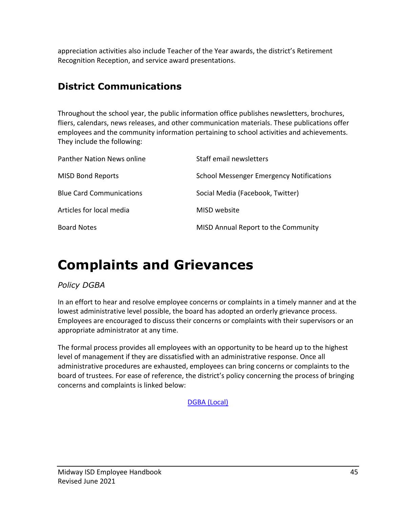appreciation activities also include Teacher of the Year awards, the district's Retirement Recognition Reception, and service award presentations.

## **District Communications**

Throughout the school year, the public information office publishes newsletters, brochures, fliers, calendars, news releases, and other communication materials. These publications offer employees and the community information pertaining to school activities and achievements. They include the following:

| <b>Panther Nation News online</b> | Staff email newsletters                         |
|-----------------------------------|-------------------------------------------------|
| <b>MISD Bond Reports</b>          | <b>School Messenger Emergency Notifications</b> |
| <b>Blue Card Communications</b>   | Social Media (Facebook, Twitter)                |
| Articles for local media          | MISD website                                    |
| <b>Board Notes</b>                | MISD Annual Report to the Community             |

# **Complaints and Grievances**

#### *Policy DGBA*

In an effort to hear and resolve employee concerns or complaints in a timely manner and at the lowest administrative level possible, the board has adopted an orderly grievance process. Employees are encouraged to discuss their concerns or complaints with their supervisors or an appropriate administrator at any time.

The formal process provides all employees with an opportunity to be heard up to the highest level of management if they are dissatisfied with an administrative response. Once all administrative procedures are exhausted, employees can bring concerns or complaints to the board of trustees. For ease of reference, the district's policy concerning the process of bringing concerns and complaints is linked below:

[DGBA](http://pol.tasb.org/Policy/Code/860?filter=DGBA) (Local)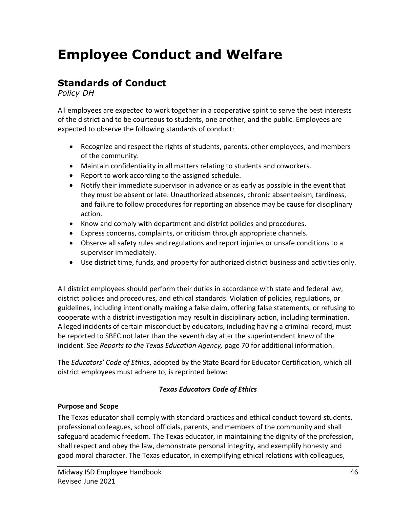# **Employee Conduct and Welfare**

## **Standards of Conduct**

*Policy DH*

All employees are expected to work together in a cooperative spirit to serve the best interests of the district and to be courteous to students, one another, and the public. Employees are expected to observe the following standards of conduct:

- Recognize and respect the rights of students, parents, other employees, and members of the community.
- Maintain confidentiality in all matters relating to students and coworkers.
- Report to work according to the assigned schedule.
- Notify their immediate supervisor in advance or as early as possible in the event that they must be absent or late. Unauthorized absences, chronic absenteeism, tardiness, and failure to follow procedures for reporting an absence may be cause for disciplinary action.
- Know and comply with department and district policies and procedures.
- Express concerns, complaints, or criticism through appropriate channels.
- Observe all safety rules and regulations and report injuries or unsafe conditions to a supervisor immediately.
- Use district time, funds, and property for authorized district business and activities only.

All district employees should perform their duties in accordance with state and federal law, district policies and procedures, and ethical standards. Violation of policies, regulations, or guidelines, including intentionally making a false claim, offering false statements, or refusing to cooperate with a district investigation may result in disciplinary action, including termination. Alleged incidents of certain misconduct by educators, including having a criminal record, must be reported to SBEC not later than the seventh day after the superintendent knew of the incident. See *Reports to the Texas Education Agency,* page 70 for additional information.

The *Educators' Code of Ethics*, adopted by the State Board for Educator Certification, which all district employees must adhere to, is reprinted below:

#### *Texas Educators Code of Ethics*

#### **Purpose and Scope**

The Texas educator shall comply with standard practices and ethical conduct toward students, professional colleagues, school officials, parents, and members of the community and shall safeguard academic freedom. The Texas educator, in maintaining the dignity of the profession, shall respect and obey the law, demonstrate personal integrity, and exemplify honesty and good moral character. The Texas educator, in exemplifying ethical relations with colleagues,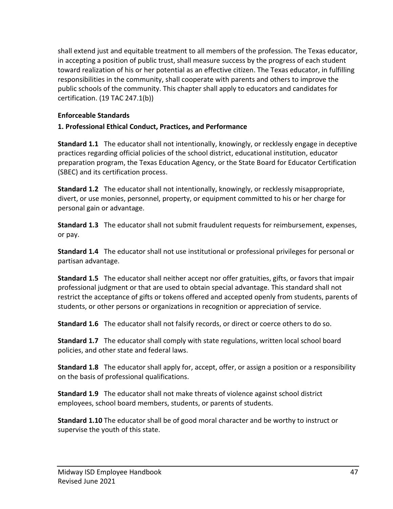shall extend just and equitable treatment to all members of the profession. The Texas educator, in accepting a position of public trust, shall measure success by the progress of each student toward realization of his or her potential as an effective citizen. The Texas educator, in fulfilling responsibilities in the community, shall cooperate with parents and others to improve the public schools of the community. This chapter shall apply to educators and candidates for certification. (19 TAC 247.1(b))

#### **Enforceable Standards**

#### **1. Professional Ethical Conduct, Practices, and Performance**

**Standard 1.1** The educator shall not intentionally, knowingly, or recklessly engage in deceptive practices regarding official policies of the school district, educational institution, educator preparation program, the Texas Education Agency, or the State Board for Educator Certification (SBEC) and its certification process.

**Standard 1.2** The educator shall not intentionally, knowingly, or recklessly misappropriate, divert, or use monies, personnel, property, or equipment committed to his or her charge for personal gain or advantage.

**Standard 1.3** The educator shall not submit fraudulent requests for reimbursement, expenses, or pay.

**Standard 1.4** The educator shall not use institutional or professional privileges for personal or partisan advantage.

**Standard 1.5** The educator shall neither accept nor offer gratuities, gifts, or favors that impair professional judgment or that are used to obtain special advantage. This standard shall not restrict the acceptance of gifts or tokens offered and accepted openly from students, parents of students, or other persons or organizations in recognition or appreciation of service.

**Standard 1.6** The educator shall not falsify records, or direct or coerce others to do so.

**Standard 1.7** The educator shall comply with state regulations, written local school board policies, and other state and federal laws.

**Standard 1.8** The educator shall apply for, accept, offer, or assign a position or a responsibility on the basis of professional qualifications.

**Standard 1.9** The educator shall not make threats of violence against school district employees, school board members, students, or parents of students.

**Standard 1.10** The educator shall be of good moral character and be worthy to instruct or supervise the youth of this state.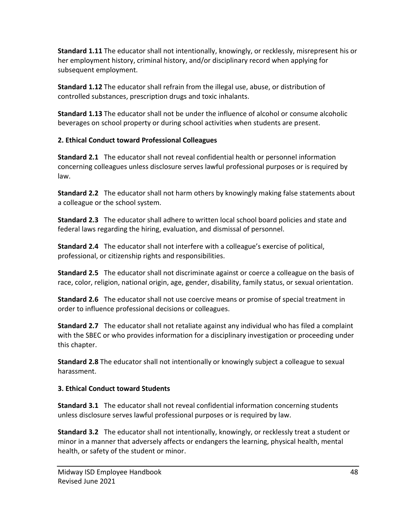**Standard 1.11** The educator shall not intentionally, knowingly, or recklessly, misrepresent his or her employment history, criminal history, and/or disciplinary record when applying for subsequent employment.

**Standard 1.12** The educator shall refrain from the illegal use, abuse, or distribution of controlled substances, prescription drugs and toxic inhalants.

**Standard 1.13** The educator shall not be under the influence of alcohol or consume alcoholic beverages on school property or during school activities when students are present.

#### **2. Ethical Conduct toward Professional Colleagues**

**Standard 2.1** The educator shall not reveal confidential health or personnel information concerning colleagues unless disclosure serves lawful professional purposes or is required by law.

**Standard 2.2** The educator shall not harm others by knowingly making false statements about a colleague or the school system.

**Standard 2.3** The educator shall adhere to written local school board policies and state and federal laws regarding the hiring, evaluation, and dismissal of personnel.

**Standard 2.4** The educator shall not interfere with a colleague's exercise of political, professional, or citizenship rights and responsibilities.

**Standard 2.5** The educator shall not discriminate against or coerce a colleague on the basis of race, color, religion, national origin, age, gender, disability, family status, or sexual orientation.

**Standard 2.6** The educator shall not use coercive means or promise of special treatment in order to influence professional decisions or colleagues.

**Standard 2.7** The educator shall not retaliate against any individual who has filed a complaint with the SBEC or who provides information for a disciplinary investigation or proceeding under this chapter.

**Standard 2.8** The educator shall not intentionally or knowingly subject a colleague to sexual harassment.

#### **3. Ethical Conduct toward Students**

**Standard 3.1** The educator shall not reveal confidential information concerning students unless disclosure serves lawful professional purposes or is required by law.

**Standard 3.2** The educator shall not intentionally, knowingly, or recklessly treat a student or minor in a manner that adversely affects or endangers the learning, physical health, mental health, or safety of the student or minor.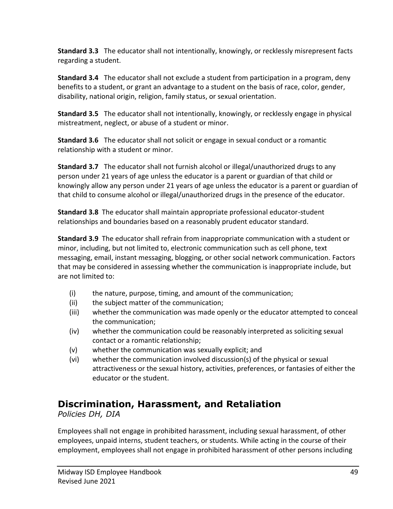**Standard 3.3** The educator shall not intentionally, knowingly, or recklessly misrepresent facts regarding a student.

**Standard 3.4** The educator shall not exclude a student from participation in a program, deny benefits to a student, or grant an advantage to a student on the basis of race, color, gender, disability, national origin, religion, family status, or sexual orientation.

**Standard 3.5** The educator shall not intentionally, knowingly, or recklessly engage in physical mistreatment, neglect, or abuse of a student or minor.

**Standard 3.6** The educator shall not solicit or engage in sexual conduct or a romantic relationship with a student or minor.

**Standard 3.7** The educator shall not furnish alcohol or illegal/unauthorized drugs to any person under 21 years of age unless the educator is a parent or guardian of that child or knowingly allow any person under 21 years of age unless the educator is a parent or guardian of that child to consume alcohol or illegal/unauthorized drugs in the presence of the educator.

**Standard 3.8** The educator shall maintain appropriate professional educator-student relationships and boundaries based on a reasonably prudent educator standard.

**Standard 3.9** The educator shall refrain from inappropriate communication with a student or minor, including, but not limited to, electronic communication such as cell phone, text messaging, email, instant messaging, blogging, or other social network communication. Factors that may be considered in assessing whether the communication is inappropriate include, but are not limited to:

- (i) the nature, purpose, timing, and amount of the communication;
- (ii) the subject matter of the communication;
- (iii) whether the communication was made openly or the educator attempted to conceal the communication;
- (iv) whether the communication could be reasonably interpreted as soliciting sexual contact or a romantic relationship;
- (v) whether the communication was sexually explicit; and
- (vi) whether the communication involved discussion(s) of the physical or sexual attractiveness or the sexual history, activities, preferences, or fantasies of either the educator or the student.

### **Discrimination, Harassment, and Retaliation**

*Policies DH, DIA*

Employees shall not engage in prohibited harassment, including sexual harassment, of other employees, unpaid interns, student teachers, or students. While acting in the course of their employment, employees shall not engage in prohibited harassment of other persons including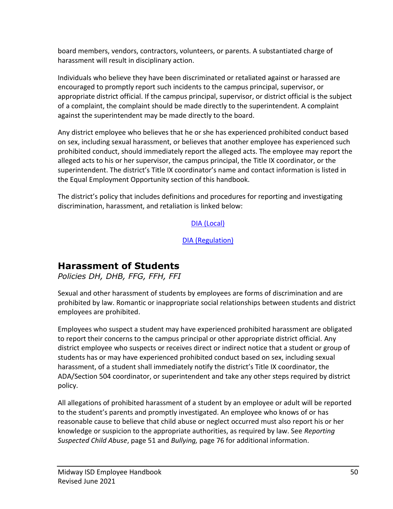board members, vendors, contractors, volunteers, or parents. A substantiated charge of harassment will result in disciplinary action.

Individuals who believe they have been discriminated or retaliated against or harassed are encouraged to promptly report such incidents to the campus principal, supervisor, or appropriate district official. If the campus principal, supervisor, or district official is the subject of a complaint, the complaint should be made directly to the superintendent. A complaint against the superintendent may be made directly to the board.

Any district employee who believes that he or she has experienced prohibited conduct based on sex, including sexual harassment, or believes that another employee has experienced such prohibited conduct, should immediately report the alleged acts. The employee may report the alleged acts to his or her supervisor, the campus principal, the Title IX coordinator, or the superintendent. The district's Title IX coordinator's name and contact information is listed in the Equal Employment Opportunity section of this handbook.

The district's policy that includes definitions and procedures for reporting and investigating discrimination, harassment, and retaliation is linked below:

[DIA \(Local\)](https://pol.tasb.org/Policy/Code/860?filter=DIA&filter=DIA)

[DIA \(Regulation\)](https://pol.tasb.org/Policy/Code/860?filter=DIA&filter=DIA)

#### **Harassment of Students**

*Policies DH, DHB, FFG, FFH, FFI*

Sexual and other harassment of students by employees are forms of discrimination and are prohibited by law. Romantic or inappropriate social relationships between students and district employees are prohibited.

Employees who suspect a student may have experienced prohibited harassment are obligated to report their concerns to the campus principal or other appropriate district official. Any district employee who suspects or receives direct or indirect notice that a student or group of students has or may have experienced prohibited conduct based on sex, including sexual harassment, of a student shall immediately notify the district's Title IX coordinator, the ADA/Section 504 coordinator, or superintendent and take any other steps required by district policy.

All allegations of prohibited harassment of a student by an employee or adult will be reported to the student's parents and promptly investigated. An employee who knows of or has reasonable cause to believe that child abuse or neglect occurred must also report his or her knowledge or suspicion to the appropriate authorities, as required by law. See *Reporting Suspected Child Abuse*, page 51 and *Bullying,* page 76 for additional information.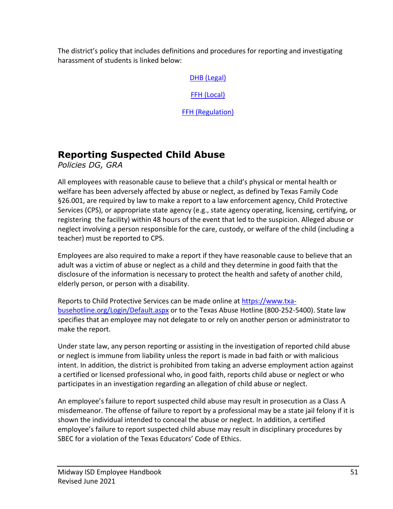The district's policy that includes definitions and procedures for reporting and investigating harassment of students is linked below:

[DHB \(Legal\)](http://pol.tasb.org/Policy/Code/860?filter=DHB)

[FFH \(Local\)](http://pol.tasb.org/Policy/Code/860?filter=FFH)

[FFH \(Regulation\)](https://pol.tasb.org/Policy/Code/860?filter=FFH)

# **Reporting Suspected Child Abuse**

*Policies DG, GRA*

All employees with reasonable cause to believe that a child's physical or mental health or welfare has been adversely affected by abuse or neglect, as defined by Texas Family Code §26.001, are required by law to make a report to a law enforcement agency, Child Protective Services (CPS), or appropriate state agency (e.g., state agency operating, licensing, certifying, or registering the facility) within 48 hours of the event that led to the suspicion. Alleged abuse or neglect involving a person responsible for the care, custody, or welfare of the child (including a teacher) must be reported to CPS.

Employees are also required to make a report if they have reasonable cause to believe that an adult was a victim of abuse or neglect as a child and they determine in good faith that the disclosure of the information is necessary to protect the health and safety of another child, elderly person, or person with a disability.

Reports to Child Protective Services can be made online a[t https://www.txa](https://www.txa-busehotline.org/Login/Default.aspx)[busehotline.org/Login/Default.aspx](https://www.txa-busehotline.org/Login/Default.aspx) or to the Texas Abuse Hotline (800-252-5400). State law specifies that an employee may not delegate to or rely on another person or administrator to make the report.

Under state law, any person reporting or assisting in the investigation of reported child abuse or neglect is immune from liability unless the report is made in bad faith or with malicious intent. In addition, the district is prohibited from taking an adverse employment action against a certified or licensed professional who, in good faith, reports child abuse or neglect or who participates in an investigation regarding an allegation of child abuse or neglect.

An employee's failure to report suspected child abuse may result in prosecution as a Class A misdemeanor. The offense of failure to report by a professional may be a state jail felony if it is shown the individual intended to conceal the abuse or neglect. In addition, a certified employee's failure to report suspected child abuse may result in disciplinary procedures by SBEC for a violation of the Texas Educators' Code of Ethics.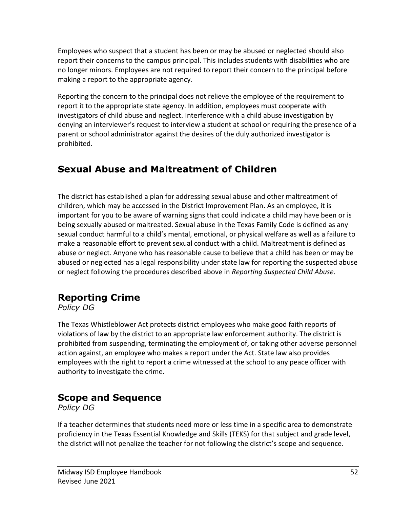Employees who suspect that a student has been or may be abused or neglected should also report their concerns to the campus principal. This includes students with disabilities who are no longer minors. Employees are not required to report their concern to the principal before making a report to the appropriate agency.

Reporting the concern to the principal does not relieve the employee of the requirement to report it to the appropriate state agency. In addition, employees must cooperate with investigators of child abuse and neglect. Interference with a child abuse investigation by denying an interviewer's request to interview a student at school or requiring the presence of a parent or school administrator against the desires of the duly authorized investigator is prohibited.

# **Sexual Abuse and Maltreatment of Children**

The district has established a plan for addressing sexual abuse and other maltreatment of children, which may be accessed in the District Improvement Plan. As an employee, it is important for you to be aware of warning signs that could indicate a child may have been or is being sexually abused or maltreated. Sexual abuse in the Texas Family Code is defined as any sexual conduct harmful to a child's mental, emotional, or physical welfare as well as a failure to make a reasonable effort to prevent sexual conduct with a child. Maltreatment is defined as abuse or neglect. Anyone who has reasonable cause to believe that a child has been or may be abused or neglected has a legal responsibility under state law for reporting the suspected abuse or neglect following the procedures described above in *Reporting Suspected Child Abuse*.

### **Reporting Crime**

*Policy DG*

The Texas Whistleblower Act protects district employees who make good faith reports of violations of law by the district to an appropriate law enforcement authority. The district is prohibited from suspending, terminating the employment of, or taking other adverse personnel action against, an employee who makes a report under the Act. State law also provides employees with the right to report a crime witnessed at the school to any peace officer with authority to investigate the crime.

# **Scope and Sequence**

*Policy DG*

If a teacher determines that students need more or less time in a specific area to demonstrate proficiency in the Texas Essential Knowledge and Skills (TEKS) for that subject and grade level, the district will not penalize the teacher for not following the district's scope and sequence.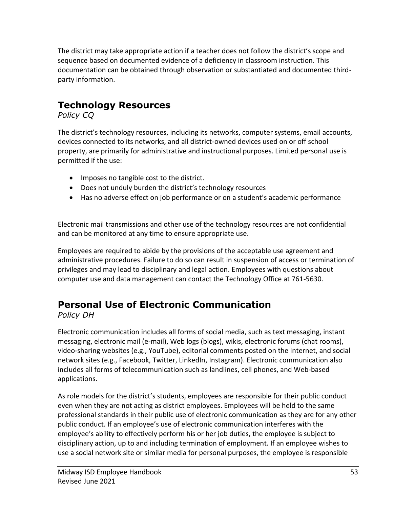The district may take appropriate action if a teacher does not follow the district's scope and sequence based on documented evidence of a deficiency in classroom instruction. This documentation can be obtained through observation or substantiated and documented thirdparty information.

# **Technology Resources**

*Policy CQ*

The district's technology resources, including its networks, computer systems, email accounts, devices connected to its networks, and all district-owned devices used on or off school property, are primarily for administrative and instructional purposes. Limited personal use is permitted if the use:

- Imposes no tangible cost to the district.
- Does not unduly burden the district's technology resources
- Has no adverse effect on job performance or on a student's academic performance

Electronic mail transmissions and other use of the technology resources are not confidential and can be monitored at any time to ensure appropriate use.

Employees are required to abide by the provisions of the acceptable use agreement and administrative procedures. Failure to do so can result in suspension of access or termination of privileges and may lead to disciplinary and legal action. Employees with questions about computer use and data management can contact the Technology Office at 761-5630.

# **Personal Use of Electronic Communication**

*Policy DH*

Electronic communication includes all forms of social media, such as text messaging, instant messaging, electronic mail (e-mail), Web logs (blogs), wikis, electronic forums (chat rooms), video-sharing websites (e.g., YouTube), editorial comments posted on the Internet, and social network sites (e.g., Facebook, Twitter, LinkedIn, Instagram). Electronic communication also includes all forms of telecommunication such as landlines, cell phones, and Web-based applications.

As role models for the district's students, employees are responsible for their public conduct even when they are not acting as district employees. Employees will be held to the same professional standards in their public use of electronic communication as they are for any other public conduct. If an employee's use of electronic communication interferes with the employee's ability to effectively perform his or her job duties, the employee is subject to disciplinary action, up to and including termination of employment. If an employee wishes to use a social network site or similar media for personal purposes, the employee is responsible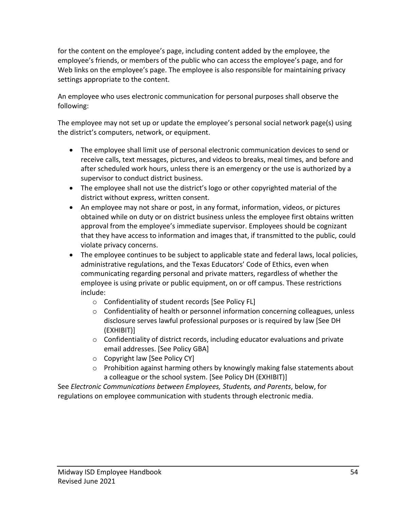for the content on the employee's page, including content added by the employee, the employee's friends, or members of the public who can access the employee's page, and for Web links on the employee's page. The employee is also responsible for maintaining privacy settings appropriate to the content.

An employee who uses electronic communication for personal purposes shall observe the following:

The employee may not set up or update the employee's personal social network page(s) using the district's computers, network, or equipment.

- The employee shall limit use of personal electronic communication devices to send or receive calls, text messages, pictures, and videos to breaks, meal times, and before and after scheduled work hours, unless there is an emergency or the use is authorized by a supervisor to conduct district business.
- The employee shall not use the district's logo or other copyrighted material of the district without express, written consent.
- An employee may not share or post, in any format, information, videos, or pictures obtained while on duty or on district business unless the employee first obtains written approval from the employee's immediate supervisor. Employees should be cognizant that they have access to information and images that, if transmitted to the public, could violate privacy concerns.
- The employee continues to be subject to applicable state and federal laws, local policies, administrative regulations, and the Texas Educators' Code of Ethics, even when communicating regarding personal and private matters, regardless of whether the employee is using private or public equipment, on or off campus. These restrictions include:
	- o Confidentiality of student records [See Policy FL]
	- $\circ$  Confidentiality of health or personnel information concerning colleagues, unless disclosure serves lawful professional purposes or is required by law [See DH (EXHIBIT)]
	- $\circ$  Confidentiality of district records, including educator evaluations and private email addresses. [See Policy GBA]
	- o Copyright law [See Policy CY]
	- $\circ$  Prohibition against harming others by knowingly making false statements about a colleague or the school system. [See Policy DH (EXHIBIT)]

See *Electronic Communications between Employees, Students, and Parents*, below, for regulations on employee communication with students through electronic media.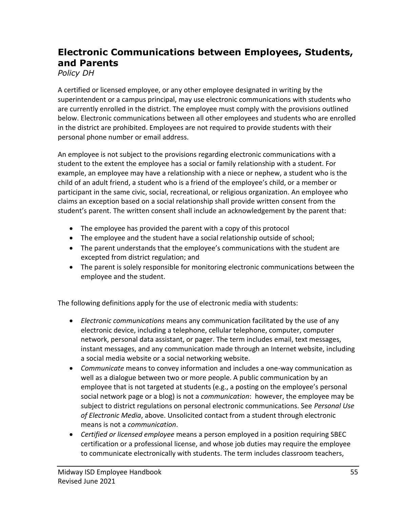# **Electronic Communications between Employees, Students, and Parents**

*Policy DH*

A certified or licensed employee, or any other employee designated in writing by the superintendent or a campus principal, may use electronic communications with students who are currently enrolled in the district. The employee must comply with the provisions outlined below. Electronic communications between all other employees and students who are enrolled in the district are prohibited. Employees are not required to provide students with their personal phone number or email address.

An employee is not subject to the provisions regarding electronic communications with a student to the extent the employee has a social or family relationship with a student. For example, an employee may have a relationship with a niece or nephew, a student who is the child of an adult friend, a student who is a friend of the employee's child, or a member or participant in the same civic, social, recreational, or religious organization. An employee who claims an exception based on a social relationship shall provide written consent from the student's parent. The written consent shall include an acknowledgement by the parent that:

- The employee has provided the parent with a copy of this protocol
- The employee and the student have a social relationship outside of school;
- The parent understands that the employee's communications with the student are excepted from district regulation; and
- The parent is solely responsible for monitoring electronic communications between the employee and the student.

The following definitions apply for the use of electronic media with students:

- *Electronic communications* means any communication facilitated by the use of any electronic device, including a telephone, cellular telephone, computer, computer network, personal data assistant, or pager. The term includes email, text messages, instant messages, and any communication made through an Internet website, including a social media website or a social networking website.
- *Communicate* means to convey information and includes a one-way communication as well as a dialogue between two or more people. A public communication by an employee that is not targeted at students (e.g., a posting on the employee's personal social network page or a blog) is not a *communication*: however, the employee may be subject to district regulations on personal electronic communications. See *Personal Use of Electronic Media*, above. Unsolicited contact from a student through electronic means is not a *communication*.
- *Certified or licensed employee* means a person employed in a position requiring SBEC certification or a professional license, and whose job duties may require the employee to communicate electronically with students. The term includes classroom teachers,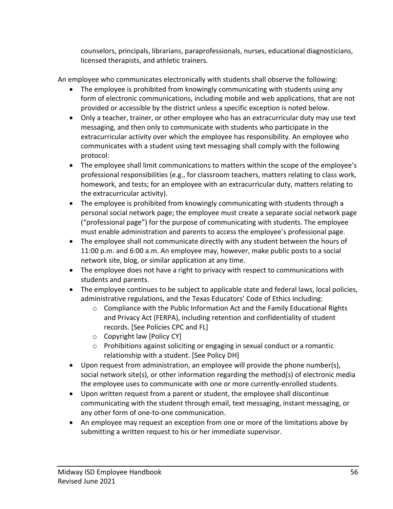counselors, principals, librarians, paraprofessionals, nurses, educational diagnosticians, licensed therapists, and athletic trainers.

An employee who communicates electronically with students shall observe the following:

- The employee is prohibited from knowingly communicating with students using any form of electronic communications, including mobile and web applications, that are not provided or accessible by the district unless a specific exception is noted below.
- Only a teacher, trainer, or other employee who has an extracurricular duty may use text messaging, and then only to communicate with students who participate in the extracurricular activity over which the employee has responsibility. An employee who communicates with a student using text messaging shall comply with the following protocol:
- The employee shall limit communications to matters within the scope of the employee's professional responsibilities (e.g., for classroom teachers, matters relating to class work, homework, and tests; for an employee with an extracurricular duty, matters relating to the extracurricular activity).
- The employee is prohibited from knowingly communicating with students through a personal social network page; the employee must create a separate social network page ("professional page") for the purpose of communicating with students. The employee must enable administration and parents to access the employee's professional page.
- The employee shall not communicate directly with any student between the hours of 11:00 p.m. and 6:00 a.m. An employee may, however, make public posts to a social network site, blog, or similar application at any time.
- The employee does not have a right to privacy with respect to communications with students and parents.
- The employee continues to be subject to applicable state and federal laws, local policies, administrative regulations, and the Texas Educators' Code of Ethics including:
	- $\circ$  Compliance with the Public Information Act and the Family Educational Rights and Privacy Act (FERPA), including retention and confidentiality of student records. [See Policies CPC and FL]
	- o Copyright law [Policy CY]
	- o Prohibitions against soliciting or engaging in sexual conduct or a romantic relationship with a student. [See Policy DH]
- Upon request from administration, an employee will provide the phone number(s), social network site(s), or other information regarding the method(s) of electronic media the employee uses to communicate with one or more currently-enrolled students.
- Upon written request from a parent or student, the employee shall discontinue communicating with the student through email, text messaging, instant messaging, or any other form of one-to-one communication.
- An employee may request an exception from one or more of the limitations above by submitting a written request to his or her immediate supervisor.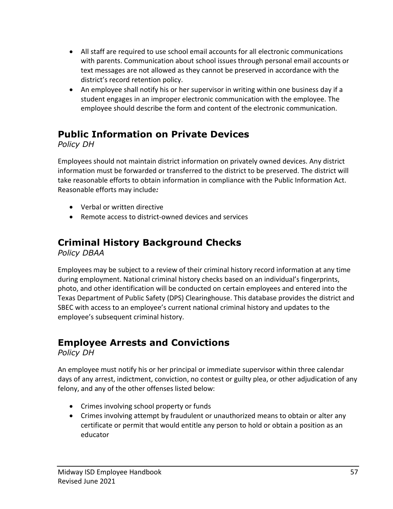- All staff are required to use school email accounts for all electronic communications with parents. Communication about school issues through personal email accounts or text messages are not allowed as they cannot be preserved in accordance with the district's record retention policy.
- An employee shall notify his or her supervisor in writing within one business day if a student engages in an improper electronic communication with the employee. The employee should describe the form and content of the electronic communication.

## **Public Information on Private Devices**

*Policy DH*

Employees should not maintain district information on privately owned devices. Any district information must be forwarded or transferred to the district to be preserved. The district will take reasonable efforts to obtain information in compliance with the Public Information Act. Reasonable efforts may include*:* 

- Verbal or written directive
- Remote access to district-owned devices and services

# **Criminal History Background Checks**

*Policy DBAA*

Employees may be subject to a review of their criminal history record information at any time during employment. National criminal history checks based on an individual's fingerprints, photo, and other identification will be conducted on certain employees and entered into the Texas Department of Public Safety (DPS) Clearinghouse. This database provides the district and SBEC with access to an employee's current national criminal history and updates to the employee's subsequent criminal history.

# **Employee Arrests and Convictions**

*Policy DH*

An employee must notify his or her principal or immediate supervisor within three calendar days of any arrest, indictment, conviction, no contest or guilty plea, or other adjudication of any felony, and any of the other offenses listed below:

- Crimes involving school property or funds
- Crimes involving attempt by fraudulent or unauthorized means to obtain or alter any certificate or permit that would entitle any person to hold or obtain a position as an educator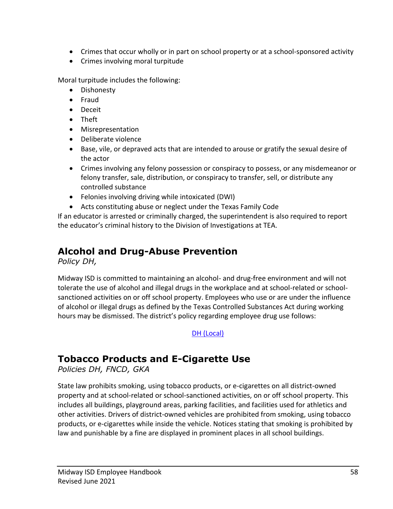- Crimes that occur wholly or in part on school property or at a school-sponsored activity
- Crimes involving moral turpitude

Moral turpitude includes the following:

- Dishonesty
- Fraud
- Deceit
- Theft
- Misrepresentation
- Deliberate violence
- Base, vile, or depraved acts that are intended to arouse or gratify the sexual desire of the actor
- Crimes involving any felony possession or conspiracy to possess, or any misdemeanor or felony transfer, sale, distribution, or conspiracy to transfer, sell, or distribute any controlled substance
- Felonies involving driving while intoxicated (DWI)
- Acts constituting abuse or neglect under the Texas Family Code

If an educator is arrested or criminally charged, the superintendent is also required to report the educator's criminal history to the Division of Investigations at TEA.

# **Alcohol and Drug-Abuse Prevention**

*Policy DH,*

Midway ISD is committed to maintaining an alcohol- and drug-free environment and will not tolerate the use of alcohol and illegal drugs in the workplace and at school-related or schoolsanctioned activities on or off school property. Employees who use or are under the influence of alcohol or illegal drugs as defined by the Texas Controlled Substances Act during working hours may be dismissed. The district's policy regarding employee drug use follows:

[DH \(Local\)](http://pol.tasb.org/Policy/Code/860?filter=DHB)

# **Tobacco Products and E-Cigarette Use**

*Policies DH, FNCD, GKA*

State law prohibits smoking, using tobacco products, or e-cigarettes on all district-owned property and at school-related or school-sanctioned activities, on or off school property. This includes all buildings, playground areas, parking facilities, and facilities used for athletics and other activities. Drivers of district-owned vehicles are prohibited from smoking, using tobacco products, or e-cigarettes while inside the vehicle. Notices stating that smoking is prohibited by law and punishable by a fine are displayed in prominent places in all school buildings.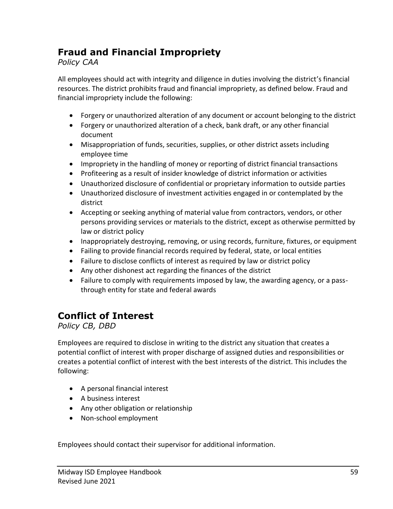## **Fraud and Financial Impropriety**

#### *Policy CAA*

All employees should act with integrity and diligence in duties involving the district's financial resources. The district prohibits fraud and financial impropriety, as defined below. Fraud and financial impropriety include the following:

- Forgery or unauthorized alteration of any document or account belonging to the district
- Forgery or unauthorized alteration of a check, bank draft, or any other financial document
- Misappropriation of funds, securities, supplies, or other district assets including employee time
- Impropriety in the handling of money or reporting of district financial transactions
- Profiteering as a result of insider knowledge of district information or activities
- Unauthorized disclosure of confidential or proprietary information to outside parties
- Unauthorized disclosure of investment activities engaged in or contemplated by the district
- Accepting or seeking anything of material value from contractors, vendors, or other persons providing services or materials to the district, except as otherwise permitted by law or district policy
- Inappropriately destroying, removing, or using records, furniture, fixtures, or equipment
- Failing to provide financial records required by federal, state, or local entities
- Failure to disclose conflicts of interest as required by law or district policy
- Any other dishonest act regarding the finances of the district
- Failure to comply with requirements imposed by law, the awarding agency, or a passthrough entity for state and federal awards

# **Conflict of Interest**

*Policy CB, DBD*

Employees are required to disclose in writing to the district any situation that creates a potential conflict of interest with proper discharge of assigned duties and responsibilities or creates a potential conflict of interest with the best interests of the district. This includes the following:

- A personal financial interest
- A business interest
- Any other obligation or relationship
- Non-school employment

Employees should contact their supervisor for additional information.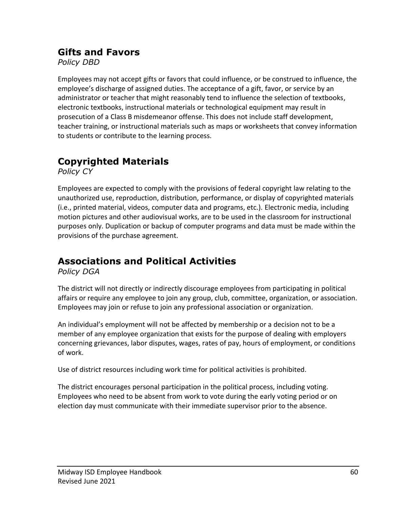### **Gifts and Favors**

*Policy DBD*

Employees may not accept gifts or favors that could influence, or be construed to influence, the employee's discharge of assigned duties. The acceptance of a gift, favor, or service by an administrator or teacher that might reasonably tend to influence the selection of textbooks, electronic textbooks, instructional materials or technological equipment may result in prosecution of a Class B misdemeanor offense. This does not include staff development, teacher training, or instructional materials such as maps or worksheets that convey information to students or contribute to the learning process.

# **Copyrighted Materials**

*Policy CY*

Employees are expected to comply with the provisions of federal copyright law relating to the unauthorized use, reproduction, distribution, performance, or display of copyrighted materials (i.e., printed material, videos, computer data and programs, etc.). Electronic media, including motion pictures and other audiovisual works, are to be used in the classroom for instructional purposes only. Duplication or backup of computer programs and data must be made within the provisions of the purchase agreement.

# **Associations and Political Activities**

*Policy DGA*

The district will not directly or indirectly discourage employees from participating in political affairs or require any employee to join any group, club, committee, organization, or association. Employees may join or refuse to join any professional association or organization.

An individual's employment will not be affected by membership or a decision not to be a member of any employee organization that exists for the purpose of dealing with employers concerning grievances, labor disputes, wages, rates of pay, hours of employment, or conditions of work.

Use of district resources including work time for political activities is prohibited.

The district encourages personal participation in the political process, including voting. Employees who need to be absent from work to vote during the early voting period or on election day must communicate with their immediate supervisor prior to the absence.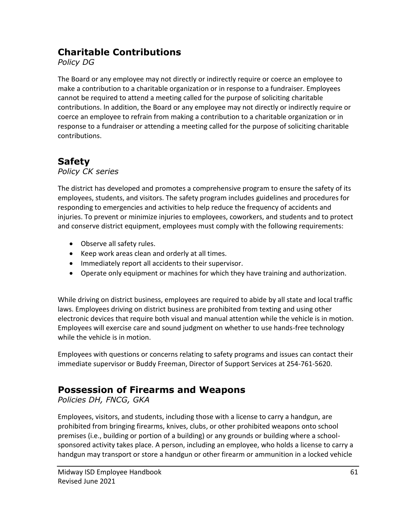### **Charitable Contributions**

*Policy DG*

The Board or any employee may not directly or indirectly require or coerce an employee to make a contribution to a charitable organization or in response to a fundraiser. Employees cannot be required to attend a meeting called for the purpose of soliciting charitable contributions. In addition, the Board or any employee may not directly or indirectly require or coerce an employee to refrain from making a contribution to a charitable organization or in response to a fundraiser or attending a meeting called for the purpose of soliciting charitable contributions.

# **Safety**

*Policy CK series*

The district has developed and promotes a comprehensive program to ensure the safety of its employees, students, and visitors. The safety program includes guidelines and procedures for responding to emergencies and activities to help reduce the frequency of accidents and injuries. To prevent or minimize injuries to employees, coworkers, and students and to protect and conserve district equipment, employees must comply with the following requirements:

- Observe all safety rules.
- Keep work areas clean and orderly at all times.
- Immediately report all accidents to their supervisor.
- Operate only equipment or machines for which they have training and authorization.

While driving on district business, employees are required to abide by all state and local traffic laws. Employees driving on district business are prohibited from texting and using other electronic devices that require both visual and manual attention while the vehicle is in motion. Employees will exercise care and sound judgment on whether to use hands-free technology while the vehicle is in motion.

Employees with questions or concerns relating to safety programs and issues can contact their immediate supervisor or Buddy Freeman, Director of Support Services at 254-761-5620.

# **Possession of Firearms and Weapons**

*Policies DH, FNCG, GKA*

Employees, visitors, and students, including those with a license to carry a handgun, are prohibited from bringing firearms, knives, clubs, or other prohibited weapons onto school premises (i.e., building or portion of a building) or any grounds or building where a schoolsponsored activity takes place. A person, including an employee, who holds a license to carry a handgun may transport or store a handgun or other firearm or ammunition in a locked vehicle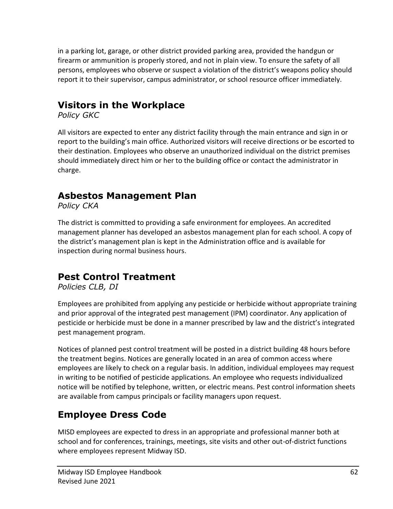in a parking lot, garage, or other district provided parking area, provided the handgun or firearm or ammunition is properly stored, and not in plain view. To ensure the safety of all persons, employees who observe or suspect a violation of the district's weapons policy should report it to their supervisor, campus administrator, or school resource officer immediately.

# **Visitors in the Workplace**

*Policy GKC*

All visitors are expected to enter any district facility through the main entrance and sign in or report to the building's main office. Authorized visitors will receive directions or be escorted to their destination. Employees who observe an unauthorized individual on the district premises should immediately direct him or her to the building office or contact the administrator in charge.

## **Asbestos Management Plan**

*Policy CKA*

The district is committed to providing a safe environment for employees. An accredited management planner has developed an asbestos management plan for each school. A copy of the district's management plan is kept in the Administration office and is available for inspection during normal business hours.

### **Pest Control Treatment**

*Policies CLB, DI*

Employees are prohibited from applying any pesticide or herbicide without appropriate training and prior approval of the integrated pest management (IPM) coordinator. Any application of pesticide or herbicide must be done in a manner prescribed by law and the district's integrated pest management program.

Notices of planned pest control treatment will be posted in a district building 48 hours before the treatment begins. Notices are generally located in an area of common access where employees are likely to check on a regular basis. In addition, individual employees may request in writing to be notified of pesticide applications. An employee who requests individualized notice will be notified by telephone, written, or electric means. Pest control information sheets are available from campus principals or facility managers upon request.

# **Employee Dress Code**

MISD employees are expected to dress in an appropriate and professional manner both at school and for conferences, trainings, meetings, site visits and other out-of-district functions where employees represent Midway ISD.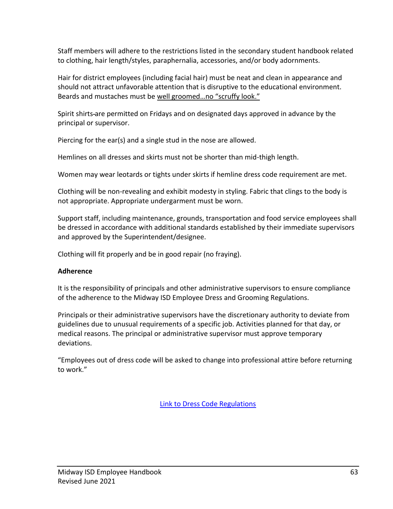Staff members will adhere to the restrictions listed in the secondary student handbook related to clothing, hair length/styles, paraphernalia, accessories, and/or body adornments.

Hair for district employees (including facial hair) must be neat and clean in appearance and should not attract unfavorable attention that is disruptive to the educational environment. Beards and mustaches must be well groomed…no "scruffy look."

Spirit shirts are permitted on Fridays and on designated days approved in advance by the principal or supervisor.

Piercing for the ear(s) and a single stud in the nose are allowed.

Hemlines on all dresses and skirts must not be shorter than mid-thigh length.

Women may wear leotards or tights under skirts if hemline dress code requirement are met.

Clothing will be non-revealing and exhibit modesty in styling. Fabric that clings to the body is not appropriate. Appropriate undergarment must be worn.

Support staff, including maintenance, grounds, transportation and food service employees shall be dressed in accordance with additional standards established by their immediate supervisors and approved by the Superintendent/designee.

Clothing will fit properly and be in good repair (no fraying).

#### **Adherence**

It is the responsibility of principals and other administrative supervisors to ensure compliance of the adherence to the Midway ISD Employee Dress and Grooming Regulations.

Principals or their administrative supervisors have the discretionary authority to deviate from guidelines due to unusual requirements of a specific job. Activities planned for that day, or medical reasons. The principal or administrative supervisor must approve temporary deviations.

"Employees out of dress code will be asked to change into professional attire before returning to work."

[Link to Dress Code Regulations](file://///midwayisd.org/Administration/admin_staff/mad.personnel/Dress%20code/dress%20code%20guidelines%202021-2022.pdf)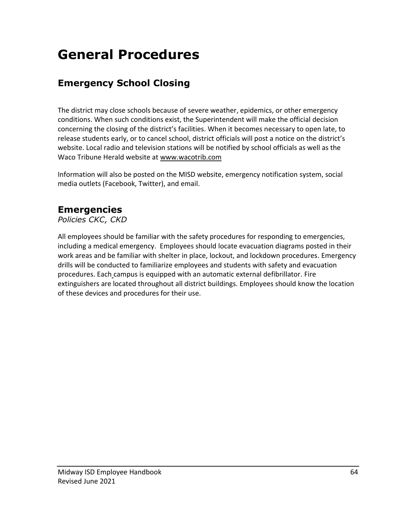# **General Procedures**

# **Emergency School Closing**

The district may close schools because of severe weather, epidemics, or other emergency conditions. When such conditions exist, the Superintendent will make the official decision concerning the closing of the district's facilities. When it becomes necessary to open late, to release students early, or to cancel school, district officials will post a notice on the district's website. Local radio and television stations will be notified by school officials as well as the Waco Tribune Herald website at [www.wacotrib.com](http://www.wacotrib.com/)

Information will also be posted on the MISD website, emergency notification system, social media outlets (Facebook, Twitter), and email.

## **Emergencies**

*Policies CKC, CKD*

All employees should be familiar with the safety procedures for responding to emergencies, including a medical emergency. Employees should locate evacuation diagrams posted in their work areas and be familiar with shelter in place, lockout, and lockdown procedures. Emergency drills will be conducted to familiarize employees and students with safety and evacuation procedures. Each campus is equipped with an automatic external defibrillator. Fire extinguishers are located throughout all district buildings. Employees should know the location of these devices and procedures for their use.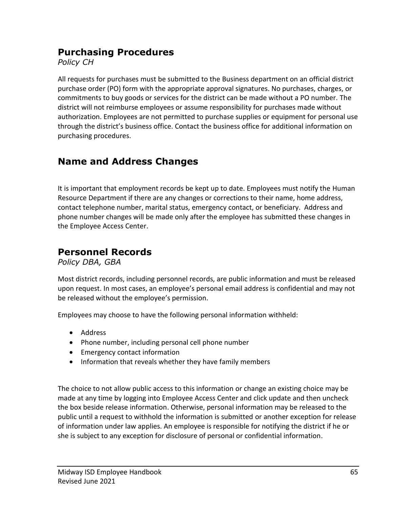#### **Purchasing Procedures**

*Policy CH*

All requests for purchases must be submitted to the Business department on an official district purchase order (PO) form with the appropriate approval signatures. No purchases, charges, or commitments to buy goods or services for the district can be made without a PO number. The district will not reimburse employees or assume responsibility for purchases made without authorization. Employees are not permitted to purchase supplies or equipment for personal use through the district's business office. Contact the business office for additional information on purchasing procedures.

# **Name and Address Changes**

It is important that employment records be kept up to date. Employees must notify the Human Resource Department if there are any changes or corrections to their name, home address, contact telephone number, marital status, emergency contact, or beneficiary. Address and phone number changes will be made only after the employee has submitted these changes in the Employee Access Center.

# **Personnel Records**

*Policy DBA, GBA*

Most district records, including personnel records, are public information and must be released upon request. In most cases, an employee's personal email address is confidential and may not be released without the employee's permission.

Employees may choose to have the following personal information withheld:

- Address
- Phone number, including personal cell phone number
- Emergency contact information
- Information that reveals whether they have family members

The choice to not allow public access to this information or change an existing choice may be made at any time by logging into Employee Access Center and click update and then uncheck the box beside release information. Otherwise, personal information may be released to the public until a request to withhold the information is submitted or another exception for release of information under law applies. An employee is responsible for notifying the district if he or she is subject to any exception for disclosure of personal or confidential information.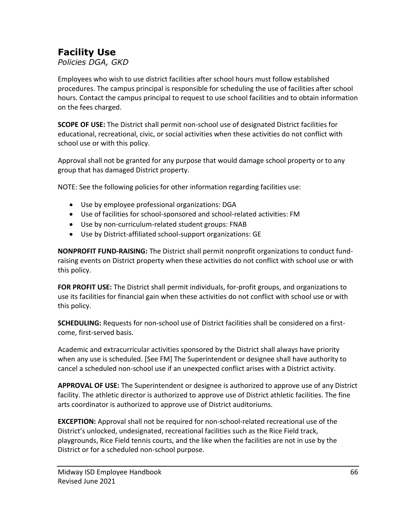## **Facility Use**

*Policies DGA, GKD*

Employees who wish to use district facilities after school hours must follow established procedures. The campus principal is responsible for scheduling the use of facilities after school hours. Contact the campus principal to request to use school facilities and to obtain information on the fees charged.

**SCOPE OF USE:** The District shall permit non-school use of designated District facilities for educational, recreational, civic, or social activities when these activities do not conflict with school use or with this policy.

Approval shall not be granted for any purpose that would damage school property or to any group that has damaged District property.

NOTE: See the following policies for other information regarding facilities use:

- Use by employee professional organizations: DGA
- Use of facilities for school-sponsored and school-related activities: FM
- Use by non-curriculum-related student groups: FNAB
- Use by District-affiliated school-support organizations: GE

**NONPROFIT FUND-RAISING:** The District shall permit nonprofit organizations to conduct fundraising events on District property when these activities do not conflict with school use or with this policy.

**FOR PROFIT USE:** The District shall permit individuals, for-profit groups, and organizations to use its facilities for financial gain when these activities do not conflict with school use or with this policy.

**SCHEDULING:** Requests for non-school use of District facilities shall be considered on a firstcome, first-served basis.

Academic and extracurricular activities sponsored by the District shall always have priority when any use is scheduled. [See FM] The Superintendent or designee shall have authority to cancel a scheduled non-school use if an unexpected conflict arises with a District activity.

**APPROVAL OF USE:** The Superintendent or designee is authorized to approve use of any District facility. The athletic director is authorized to approve use of District athletic facilities. The fine arts coordinator is authorized to approve use of District auditoriums.

**EXCEPTION:** Approval shall not be required for non-school-related recreational use of the District's unlocked, undesignated, recreational facilities such as the Rice Field track, playgrounds, Rice Field tennis courts, and the like when the facilities are not in use by the District or for a scheduled non-school purpose.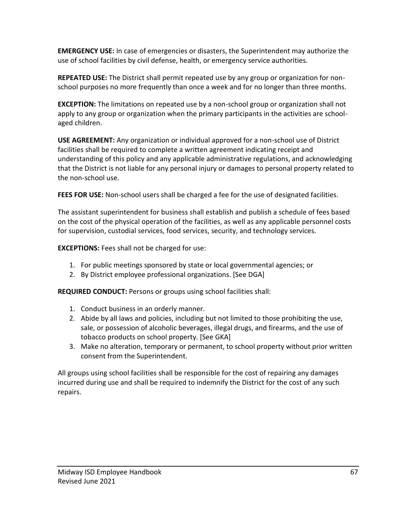**EMERGENCY USE:** In case of emergencies or disasters, the Superintendent may authorize the use of school facilities by civil defense, health, or emergency service authorities.

**REPEATED USE:** The District shall permit repeated use by any group or organization for nonschool purposes no more frequently than once a week and for no longer than three months.

**EXCEPTION:** The limitations on repeated use by a non-school group or organization shall not apply to any group or organization when the primary participants in the activities are schoolaged children.

**USE AGREEMENT:** Any organization or individual approved for a non-school use of District facilities shall be required to complete a written agreement indicating receipt and understanding of this policy and any applicable administrative regulations, and acknowledging that the District is not liable for any personal injury or damages to personal property related to the non-school use.

**FEES FOR USE:** Non-school users shall be charged a fee for the use of designated facilities.

The assistant superintendent for business shall establish and publish a schedule of fees based on the cost of the physical operation of the facilities, as well as any applicable personnel costs for supervision, custodial services, food services, security, and technology services.

**EXCEPTIONS:** Fees shall not be charged for use:

- 1. For public meetings sponsored by state or local governmental agencies; or
- 2. By District employee professional organizations. [See DGA]

**REQUIRED CONDUCT:** Persons or groups using school facilities shall:

- 1. Conduct business in an orderly manner.
- 2. Abide by all laws and policies, including but not limited to those prohibiting the use, sale, or possession of alcoholic beverages, illegal drugs, and firearms, and the use of tobacco products on school property. [See GKA]
- 3. Make no alteration, temporary or permanent, to school property without prior written consent from the Superintendent.

All groups using school facilities shall be responsible for the cost of repairing any damages incurred during use and shall be required to indemnify the District for the cost of any such repairs.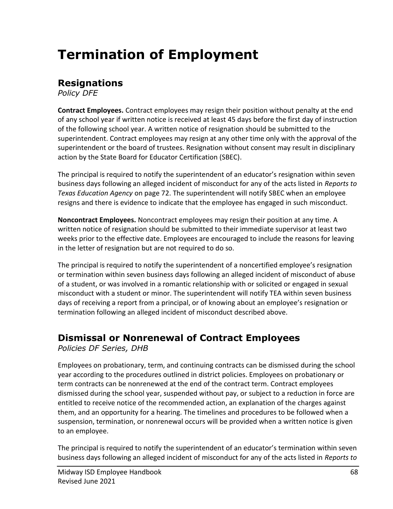# **Termination of Employment**

## **Resignations**

*Policy DFE*

**Contract Employees.** Contract employees may resign their position without penalty at the end of any school year if written notice is received at least 45 days before the first day of instruction of the following school year. A written notice of resignation should be submitted to the superintendent. Contract employees may resign at any other time only with the approval of the superintendent or the board of trustees. Resignation without consent may result in disciplinary action by the State Board for Educator Certification (SBEC).

The principal is required to notify the superintendent of an educator's resignation within seven business days following an alleged incident of misconduct for any of the acts listed in *Reports to Texas Education Agency* on page 72. The superintendent will notify SBEC when an employee resigns and there is evidence to indicate that the employee has engaged in such misconduct.

**Noncontract Employees.** Noncontract employees may resign their position at any time. A written notice of resignation should be submitted to their immediate supervisor at least two weeks prior to the effective date. Employees are encouraged to include the reasons for leaving in the letter of resignation but are not required to do so.

The principal is required to notify the superintendent of a noncertified employee's resignation or termination within seven business days following an alleged incident of misconduct of abuse of a student, or was involved in a romantic relationship with or solicited or engaged in sexual misconduct with a student or minor. The superintendent will notify TEA within seven business days of receiving a report from a principal, or of knowing about an employee's resignation or termination following an alleged incident of misconduct described above.

### **Dismissal or Nonrenewal of Contract Employees**

*Policies DF Series, DHB*

Employees on probationary, term, and continuing contracts can be dismissed during the school year according to the procedures outlined in district policies. Employees on probationary or term contracts can be nonrenewed at the end of the contract term. Contract employees dismissed during the school year, suspended without pay, or subject to a reduction in force are entitled to receive notice of the recommended action, an explanation of the charges against them, and an opportunity for a hearing. The timelines and procedures to be followed when a suspension, termination, or nonrenewal occurs will be provided when a written notice is given to an employee.

The principal is required to notify the superintendent of an educator's termination within seven business days following an alleged incident of misconduct for any of the acts listed in *Reports to*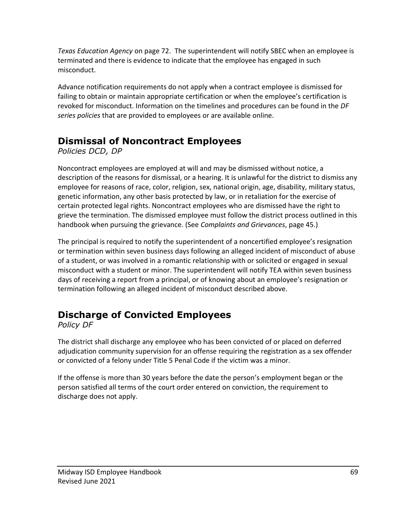*Texas Education Agency* on page 72. The superintendent will notify SBEC when an employee is terminated and there is evidence to indicate that the employee has engaged in such misconduct.

Advance notification requirements do not apply when a contract employee is dismissed for failing to obtain or maintain appropriate certification or when the employee's certification is revoked for misconduct. Information on the timelines and procedures can be found in the *DF series policies* that are provided to employees or are available online.

## **Dismissal of Noncontract Employees**

*Policies DCD, DP*

Noncontract employees are employed at will and may be dismissed without notice, a description of the reasons for dismissal, or a hearing. It is unlawful for the district to dismiss any employee for reasons of race, color, religion, sex, national origin, age, disability, military status, genetic information, any other basis protected by law, or in retaliation for the exercise of certain protected legal rights. Noncontract employees who are dismissed have the right to grieve the termination. The dismissed employee must follow the district process outlined in this handbook when pursuing the grievance. (See *Complaints and Grievances*, page 45.)

The principal is required to notify the superintendent of a noncertified employee's resignation or termination within seven business days following an alleged incident of misconduct of abuse of a student, or was involved in a romantic relationship with or solicited or engaged in sexual misconduct with a student or minor. The superintendent will notify TEA within seven business days of receiving a report from a principal, or of knowing about an employee's resignation or termination following an alleged incident of misconduct described above.

# **Discharge of Convicted Employees**

*Policy DF*

The district shall discharge any employee who has been convicted of or placed on deferred adjudication community supervision for an offense requiring the registration as a sex offender or convicted of a felony under Title 5 Penal Code if the victim was a minor.

If the offense is more than 30 years before the date the person's employment began or the person satisfied all terms of the court order entered on conviction, the requirement to discharge does not apply.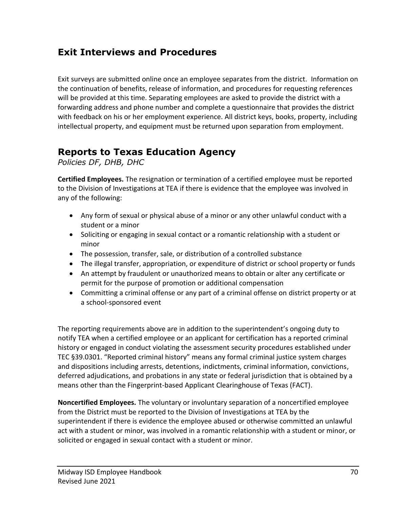### **Exit Interviews and Procedures**

Exit surveys are submitted online once an employee separates from the district. Information on the continuation of benefits, release of information, and procedures for requesting references will be provided at this time. Separating employees are asked to provide the district with a forwarding address and phone number and complete a questionnaire that provides the district with feedback on his or her employment experience. All district keys, books, property, including intellectual property, and equipment must be returned upon separation from employment.

### **Reports to Texas Education Agency**

*Policies DF, DHB, DHC*

**Certified Employees.** The resignation or termination of a certified employee must be reported to the Division of Investigations at TEA if there is evidence that the employee was involved in any of the following:

- Any form of sexual or physical abuse of a minor or any other unlawful conduct with a student or a minor
- Soliciting or engaging in sexual contact or a romantic relationship with a student or minor
- The possession, transfer, sale, or distribution of a controlled substance
- The illegal transfer, appropriation, or expenditure of district or school property or funds
- An attempt by fraudulent or unauthorized means to obtain or alter any certificate or permit for the purpose of promotion or additional compensation
- Committing a criminal offense or any part of a criminal offense on district property or at a school-sponsored event

The reporting requirements above are in addition to the superintendent's ongoing duty to notify TEA when a certified employee or an applicant for certification has a reported criminal history or engaged in conduct violating the assessment security procedures established under TEC §39.0301. "Reported criminal history" means any formal criminal justice system charges and dispositions including arrests, detentions, indictments, criminal information, convictions, deferred adjudications, and probations in any state or federal jurisdiction that is obtained by a means other than the Fingerprint-based Applicant Clearinghouse of Texas (FACT).

**Noncertified Employees.** The voluntary or involuntary separation of a noncertified employee from the District must be reported to the Division of Investigations at TEA by the superintendent if there is evidence the employee abused or otherwise committed an unlawful act with a student or minor, was involved in a romantic relationship with a student or minor, or solicited or engaged in sexual contact with a student or minor.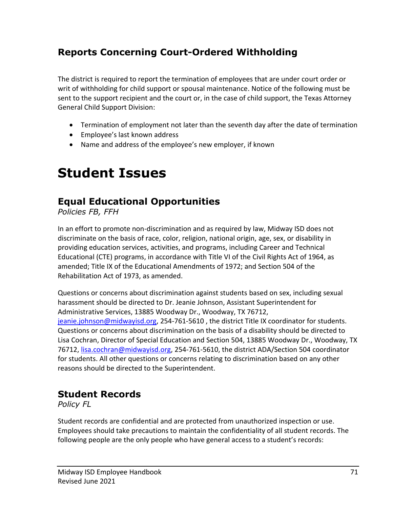# **Reports Concerning Court-Ordered Withholding**

The district is required to report the termination of employees that are under court order or writ of withholding for child support or spousal maintenance. Notice of the following must be sent to the support recipient and the court or, in the case of child support, the Texas Attorney General Child Support Division:

- Termination of employment not later than the seventh day after the date of termination
- Employee's last known address
- Name and address of the employee's new employer, if known

# **Student Issues**

### **Equal Educational Opportunities**

*Policies FB, FFH*

In an effort to promote non-discrimination and as required by law, Midway ISD does not discriminate on the basis of race, color, religion, national origin, age, sex, or disability in providing education services, activities, and programs, including Career and Technical Educational (CTE) programs, in accordance with Title VI of the Civil Rights Act of 1964, as amended; Title IX of the Educational Amendments of 1972; and Section 504 of the Rehabilitation Act of 1973, as amended.

Questions or concerns about discrimination against students based on sex, including sexual harassment should be directed to Dr. Jeanie Johnson, Assistant Superintendent for Administrative Services, 13885 Woodway Dr., Woodway, TX 76712, [jeanie.johnson@midwayisd.org,](mailto:jeanie.johnson@midwayisd.org) 254-761-5610, the district Title IX coordinator for students. Questions or concerns about discrimination on the basis of a disability should be directed to Lisa Cochran, Director of Special Education and Section 504, 13885 Woodway Dr., Woodway, TX 76712, [lisa.cochran@midwayisd.org,](mailto:lisa.cochran@midwayisd.org) 254-761-5610, the district ADA/Section 504 coordinator for students. All other questions or concerns relating to discrimination based on any other reasons should be directed to the Superintendent.

#### **Student Records**

*Policy FL*

Student records are confidential and are protected from unauthorized inspection or use. Employees should take precautions to maintain the confidentiality of all student records. The following people are the only people who have general access to a student's records: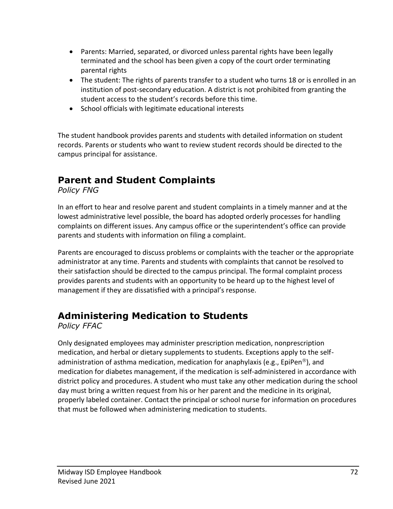- Parents: Married, separated, or divorced unless parental rights have been legally terminated and the school has been given a copy of the court order terminating parental rights
- The student: The rights of parents transfer to a student who turns 18 or is enrolled in an institution of post-secondary education. A district is not prohibited from granting the student access to the student's records before this time.
- School officials with legitimate educational interests

The student handbook provides parents and students with detailed information on student records. Parents or students who want to review student records should be directed to the campus principal for assistance.

# **Parent and Student Complaints**

*Policy FNG*

In an effort to hear and resolve parent and student complaints in a timely manner and at the lowest administrative level possible, the board has adopted orderly processes for handling complaints on different issues. Any campus office or the superintendent's office can provide parents and students with information on filing a complaint.

Parents are encouraged to discuss problems or complaints with the teacher or the appropriate administrator at any time. Parents and students with complaints that cannot be resolved to their satisfaction should be directed to the campus principal. The formal complaint process provides parents and students with an opportunity to be heard up to the highest level of management if they are dissatisfied with a principal's response.

# **Administering Medication to Students**

*Policy FFAC*

Only designated employees may administer prescription medication, nonprescription medication, and herbal or dietary supplements to students. Exceptions apply to the selfadministration of asthma medication, medication for anaphylaxis (e.g., EpiPen<sup>®</sup>), and medication for diabetes management, if the medication is self-administered in accordance with district policy and procedures. A student who must take any other medication during the school day must bring a written request from his or her parent and the medicine in its original, properly labeled container. Contact the principal or school nurse for information on procedures that must be followed when administering medication to students.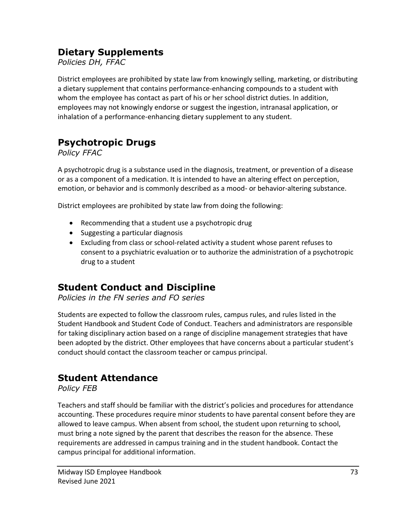#### **Dietary Supplements**

#### *Policies DH, FFAC*

District employees are prohibited by state law from knowingly selling, marketing, or distributing a dietary supplement that contains performance-enhancing compounds to a student with whom the employee has contact as part of his or her school district duties. In addition, employees may not knowingly endorse or suggest the ingestion, intranasal application, or inhalation of a performance-enhancing dietary supplement to any student.

# **Psychotropic Drugs**

*Policy FFAC*

A psychotropic drug is a substance used in the diagnosis, treatment, or prevention of a disease or as a component of a medication. It is intended to have an altering effect on perception, emotion, or behavior and is commonly described as a mood- or behavior-altering substance.

District employees are prohibited by state law from doing the following:

- Recommending that a student use a psychotropic drug
- Suggesting a particular diagnosis
- Excluding from class or school-related activity a student whose parent refuses to consent to a psychiatric evaluation or to authorize the administration of a psychotropic drug to a student

### **Student Conduct and Discipline**

*Policies in the FN series and FO series*

Students are expected to follow the classroom rules, campus rules, and rules listed in the Student Handbook and Student Code of Conduct. Teachers and administrators are responsible for taking disciplinary action based on a range of discipline management strategies that have been adopted by the district. Other employees that have concerns about a particular student's conduct should contact the classroom teacher or campus principal.

### **Student Attendance**

*Policy FEB*

Teachers and staff should be familiar with the district's policies and procedures for attendance accounting. These procedures require minor students to have parental consent before they are allowed to leave campus. When absent from school, the student upon returning to school, must bring a note signed by the parent that describes the reason for the absence. These requirements are addressed in campus training and in the student handbook. Contact the campus principal for additional information.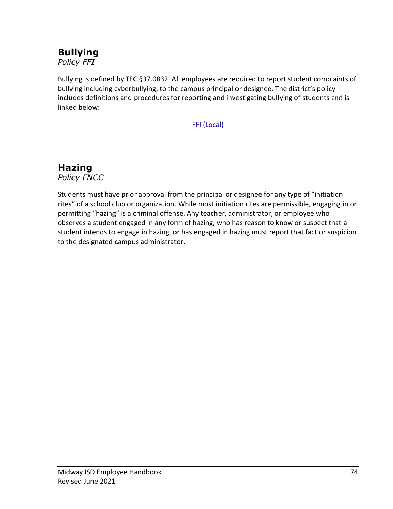## **Bullying**

*Policy FFI*

Bullying is defined by TEC §37.0832. All employees are required to report student complaints of bullying including cyberbullying, to the campus principal or designee. The district's policy includes definitions and procedures for reporting and investigating bullying of students and is linked below:

[FFI \(Local\)](http://pol.tasb.org/Policy/Code/860?filter=FFI)

### **Hazing**

*Policy FNCC*

Students must have prior approval from the principal or designee for any type of "initiation rites" of a school club or organization. While most initiation rites are permissible, engaging in or permitting "hazing" is a criminal offense. Any teacher, administrator, or employee who observes a student engaged in any form of hazing, who has reason to know or suspect that a student intends to engage in hazing, or has engaged in hazing must report that fact or suspicion to the designated campus administrator.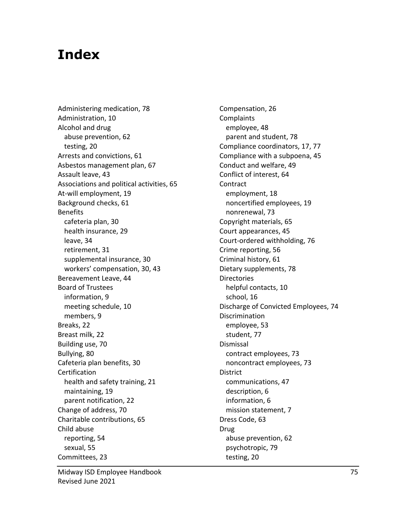# **Index**

Administering medication, 78 Administration, 10 Alcohol and drug abuse prevention, 62 testing, 20 Arrests and convictions, 61 Asbestos management plan, 67 Assault leave, 43 Associations and political activities, 65 At-will employment, 19 Background checks, 61 **Benefits** cafeteria plan, 30 health insurance, 29 leave, 34 retirement, 31 supplemental insurance, 30 workers' compensation, 30, 43 Bereavement Leave, 44 Board of Trustees information, 9 meeting schedule, 10 members, 9 Breaks, 22 Breast milk, 22 Building use, 70 Bullying, 80 Cafeteria plan benefits, 30 Certification health and safety training, 21 maintaining, 19 parent notification, 22 Change of address, 70 Charitable contributions, 65 Child abuse reporting, 54 sexual, 55 Committees, 23

Compensation, 26 Complaints employee, 48 parent and student, 78 Compliance coordinators, 17, 77 Compliance with a subpoena, 45 Conduct and welfare, 49 Conflict of interest, 64 Contract employment, 18 noncertified employees, 19 nonrenewal, 73 Copyright materials, 65 Court appearances, 45 Court-ordered withholding, 76 Crime reporting, 56 Criminal history, 61 Dietary supplements, 78 **Directories** helpful contacts, 10 school, 16 Discharge of Convicted Employees, 74 Discrimination employee, 53 student, 77 Dismissal contract employees, 73 noncontract employees, 73 District communications, 47 description, 6 information, 6 mission statement, 7 Dress Code, 63 Drug abuse prevention, 62 psychotropic, 79 testing, 20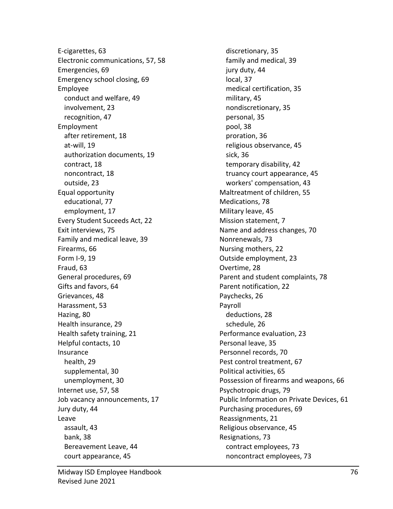E-cigarettes, 63 Electronic communications, 57, 58 Emergencies, 69 Emergency school closing, 69 Employee conduct and welfare, 49 involvement, 23 recognition, 47 Employment after retirement, 18 at-will, 19 authorization documents, 19 contract, 18 noncontract, 18 outside, 23 Equal opportunity educational, 77 employment, 17 Every Student Suceeds Act, 22 Exit interviews, 75 Family and medical leave, 39 Firearms, 66 Form I-9, 19 Fraud, 63 General procedures, 69 Gifts and favors, 64 Grievances, 48 Harassment, 53 Hazing, 80 Health insurance, 29 Health safety training, 21 Helpful contacts, 10 Insurance health, 29 supplemental, 30 unemployment, 30 Internet use, 57, 58 Job vacancy announcements, 17 Jury duty, 44 Leave assault, 43 bank, 38 Bereavement Leave, 44 court appearance, 45

discretionary, 35 family and medical, 39 jury duty, 44 local, 37 medical certification, 35 military, 45 nondiscretionary, 35 personal, 35 pool, 38 proration, 36 religious observance, 45 sick, 36 temporary disability, 42 truancy court appearance, 45 workers' compensation, 43 Maltreatment of children, 55 Medications, 78 Military leave, 45 Mission statement, 7 Name and address changes, 70 Nonrenewals, 73 Nursing mothers, 22 Outside employment, 23 Overtime, 28 Parent and student complaints, 78 Parent notification, 22 Paychecks, 26 Payroll deductions, 28 schedule, 26 Performance evaluation, 23 Personal leave, 35 Personnel records, 70 Pest control treatment, 67 Political activities, 65 Possession of firearms and weapons, 66 Psychotropic drugs, 79 Public Information on Private Devices, 61 Purchasing procedures, 69 Reassignments, 21 Religious observance, 45 Resignations, 73 contract employees, 73 noncontract employees, 73